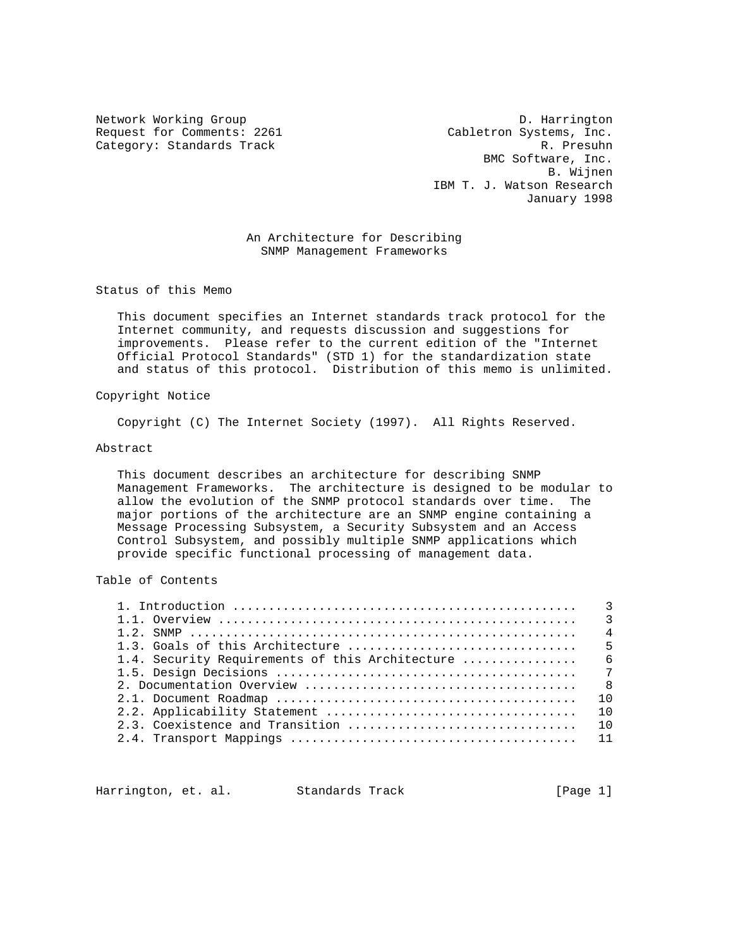Request for Comments: 2261 Cabletron Systems, Inc. Category: Standards Track R. Presuhn

Network Working Group D. Harrington BMC Software, Inc. B. Wijnen IBM T. J. Watson Research January 1998

> An Architecture for Describing SNMP Management Frameworks

Status of this Memo

 This document specifies an Internet standards track protocol for the Internet community, and requests discussion and suggestions for improvements. Please refer to the current edition of the "Internet Official Protocol Standards" (STD 1) for the standardization state and status of this protocol. Distribution of this memo is unlimited.

## Copyright Notice

Copyright (C) The Internet Society (1997). All Rights Reserved.

## Abstract

 This document describes an architecture for describing SNMP Management Frameworks. The architecture is designed to be modular to allow the evolution of the SNMP protocol standards over time. The major portions of the architecture are an SNMP engine containing a Message Processing Subsystem, a Security Subsystem and an Access Control Subsystem, and possibly multiple SNMP applications which provide specific functional processing of management data.

Table of Contents

|  | $\overline{4}$ |
|--|----------------|
|  |                |
|  |                |
|  |                |
|  |                |
|  | 10             |
|  | 10             |
|  |                |
|  |                |
|  |                |

Harrington, et. al. Standards Track [Page 1]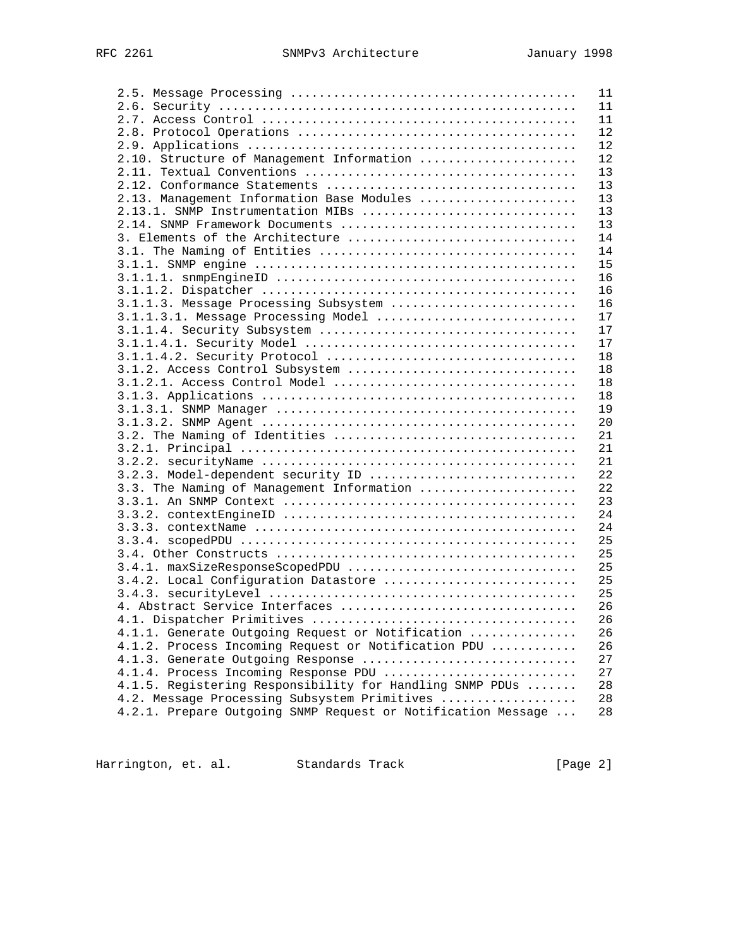|                                                              | 11 |
|--------------------------------------------------------------|----|
|                                                              | 11 |
|                                                              | 11 |
|                                                              | 12 |
|                                                              | 12 |
| 2.10. Structure of Management Information                    | 12 |
|                                                              | 13 |
|                                                              | 13 |
| 2.13. Management Information Base Modules                    | 13 |
| 2.13.1. SNMP Instrumentation MIBs                            | 13 |
| 2.14. SNMP Framework Documents                               | 13 |
| 3. Elements of the Architecture                              | 14 |
|                                                              | 14 |
|                                                              |    |
|                                                              | 15 |
|                                                              | 16 |
|                                                              | 16 |
| 3.1.1.3. Message Processing Subsystem                        | 16 |
| 3.1.1.3.1. Message Processing Model                          | 17 |
|                                                              | 17 |
|                                                              | 17 |
|                                                              | 18 |
| 3.1.2. Access Control Subsystem                              | 18 |
|                                                              | 18 |
|                                                              | 18 |
|                                                              | 19 |
|                                                              | 20 |
|                                                              | 21 |
|                                                              | 21 |
|                                                              | 21 |
| 3.2.3. Model-dependent security ID                           | 22 |
| 3.3. The Naming of Management Information                    | 22 |
|                                                              | 23 |
|                                                              | 24 |
|                                                              |    |
|                                                              | 24 |
|                                                              | 25 |
|                                                              | 25 |
| 3.4.1. maxSizeResponseScopedPDU                              | 25 |
| 3.4.2. Local Configuration Datastore                         | 25 |
|                                                              | 25 |
|                                                              | 26 |
|                                                              | 26 |
| 4.1.1. Generate Outgoing Request or Notification             | 26 |
| 4.1.2. Process Incoming Request or Notification PDU          | 26 |
| 4.1.3. Generate Outgoing Response                            | 27 |
| 4.1.4. Process Incoming Response PDU                         | 27 |
| 4.1.5. Registering Responsibility for Handling SNMP PDUs     | 28 |
| 4.2. Message Processing Subsystem Primitives                 | 28 |
| 4.2.1. Prepare Outgoing SNMP Request or Notification Message | 28 |
|                                                              |    |

Harrington, et. al. Standards Track (Page 2)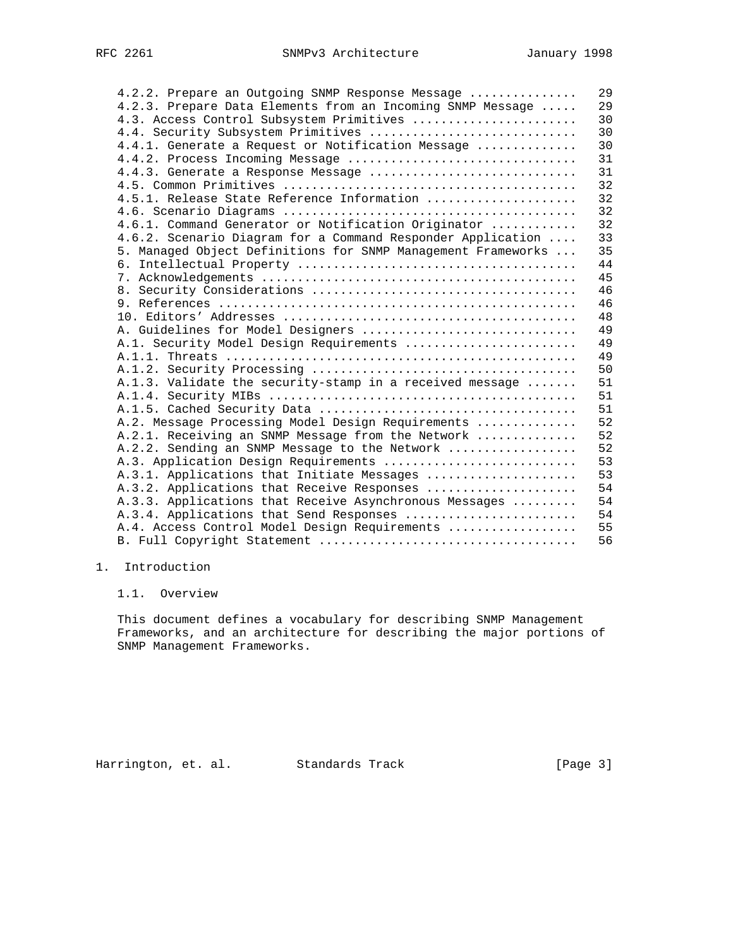| 4.2.2. Prepare an Outgoing SNMP Response Message             | 29 |
|--------------------------------------------------------------|----|
| 4.2.3. Prepare Data Elements from an Incoming SNMP Message   | 29 |
| 4.3. Access Control Subsystem Primitives                     | 30 |
| 4.4. Security Subsystem Primitives                           | 30 |
| 4.4.1. Generate a Request or Notification Message            | 30 |
| 4.4.2. Process Incoming Message                              | 31 |
| 4.4.3. Generate a Response Message                           | 31 |
|                                                              | 32 |
| 4.5.1. Release State Reference Information                   | 32 |
|                                                              | 32 |
| 4.6.1. Command Generator or Notification Originator          | 32 |
| 4.6.2. Scenario Diagram for a Command Responder Application  | 33 |
| 5. Managed Object Definitions for SNMP Management Frameworks | 35 |
|                                                              | 44 |
|                                                              | 45 |
|                                                              | 46 |
|                                                              | 46 |
|                                                              | 48 |
| A. Guidelines for Model Designers                            | 49 |
| A.1. Security Model Design Requirements                      | 49 |
|                                                              | 49 |
|                                                              | 50 |
| A.1.3. Validate the security-stamp in a received message     | 51 |
|                                                              | 51 |
|                                                              | 51 |
| A.2. Message Processing Model Design Requirements            | 52 |
| A.2.1. Receiving an SNMP Message from the Network            | 52 |
| A.2.2. Sending an SNMP Message to the Network                | 52 |
| A.3. Application Design Requirements                         | 53 |
| A.3.1. Applications that Initiate Messages                   | 53 |
| A.3.2. Applications that Receive Responses                   | 54 |
| A.3.3. Applications that Receive Asynchronous Messages       | 54 |
| A.3.4. Applications that Send Responses                      | 54 |
| A.4. Access Control Model Design Requirements                | 55 |
|                                                              | 56 |
|                                                              |    |

# 1. Introduction

1.1. Overview

 This document defines a vocabulary for describing SNMP Management Frameworks, and an architecture for describing the major portions of SNMP Management Frameworks.

Harrington, et. al. Standards Track [Page 3]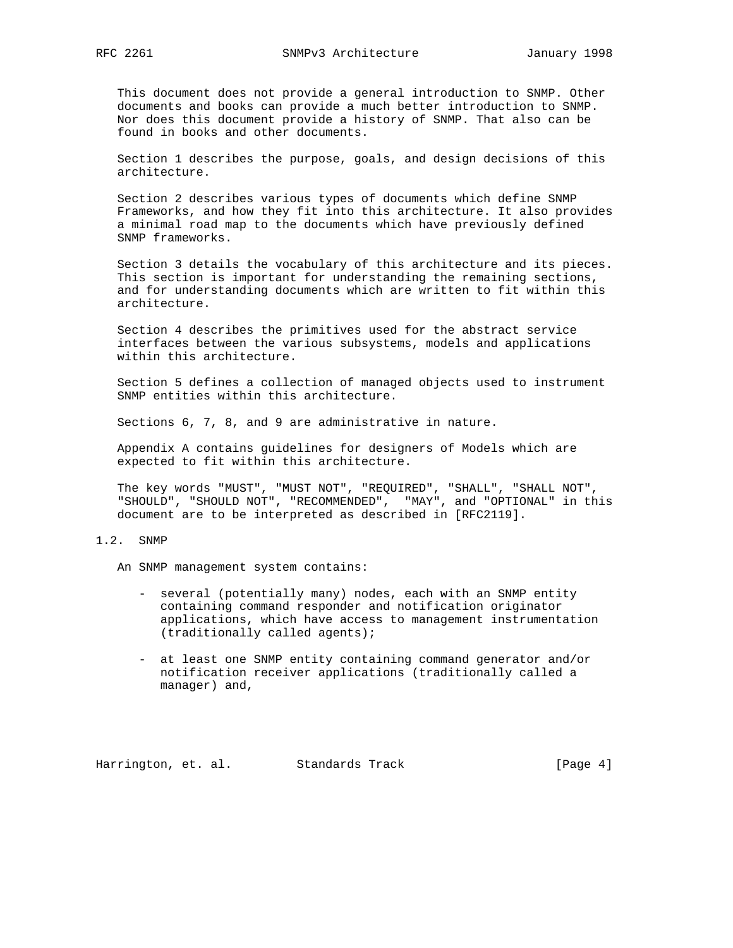This document does not provide a general introduction to SNMP. Other documents and books can provide a much better introduction to SNMP. Nor does this document provide a history of SNMP. That also can be found in books and other documents.

 Section 1 describes the purpose, goals, and design decisions of this architecture.

 Section 2 describes various types of documents which define SNMP Frameworks, and how they fit into this architecture. It also provides a minimal road map to the documents which have previously defined SNMP frameworks.

 Section 3 details the vocabulary of this architecture and its pieces. This section is important for understanding the remaining sections, and for understanding documents which are written to fit within this architecture.

 Section 4 describes the primitives used for the abstract service interfaces between the various subsystems, models and applications within this architecture.

 Section 5 defines a collection of managed objects used to instrument SNMP entities within this architecture.

Sections 6, 7, 8, and 9 are administrative in nature.

 Appendix A contains guidelines for designers of Models which are expected to fit within this architecture.

 The key words "MUST", "MUST NOT", "REQUIRED", "SHALL", "SHALL NOT", "SHOULD", "SHOULD NOT", "RECOMMENDED", "MAY", and "OPTIONAL" in this document are to be interpreted as described in [RFC2119].

# 1.2. SNMP

An SNMP management system contains:

- several (potentially many) nodes, each with an SNMP entity containing command responder and notification originator applications, which have access to management instrumentation (traditionally called agents);
- at least one SNMP entity containing command generator and/or notification receiver applications (traditionally called a manager) and,

Harrington, et. al. Standards Track [Page 4]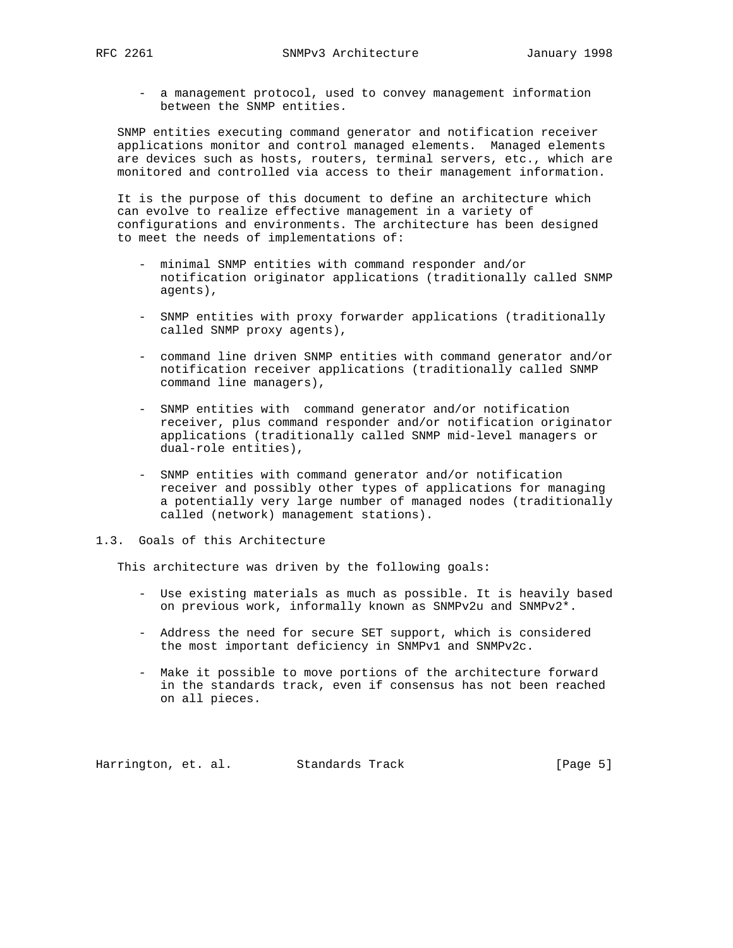- a management protocol, used to convey management information between the SNMP entities.

 SNMP entities executing command generator and notification receiver applications monitor and control managed elements. Managed elements are devices such as hosts, routers, terminal servers, etc., which are monitored and controlled via access to their management information.

 It is the purpose of this document to define an architecture which can evolve to realize effective management in a variety of configurations and environments. The architecture has been designed to meet the needs of implementations of:

- minimal SNMP entities with command responder and/or notification originator applications (traditionally called SNMP agents),
- SNMP entities with proxy forwarder applications (traditionally called SNMP proxy agents),
- command line driven SNMP entities with command generator and/or notification receiver applications (traditionally called SNMP command line managers),
- SNMP entities with command generator and/or notification receiver, plus command responder and/or notification originator applications (traditionally called SNMP mid-level managers or dual-role entities),
- SNMP entities with command generator and/or notification receiver and possibly other types of applications for managing a potentially very large number of managed nodes (traditionally called (network) management stations).
- 1.3. Goals of this Architecture

This architecture was driven by the following goals:

- Use existing materials as much as possible. It is heavily based on previous work, informally known as SNMPv2u and SNMPv2\*.
- Address the need for secure SET support, which is considered the most important deficiency in SNMPv1 and SNMPv2c.
- Make it possible to move portions of the architecture forward in the standards track, even if consensus has not been reached on all pieces.

Harrington, et. al. Standards Track [Page 5]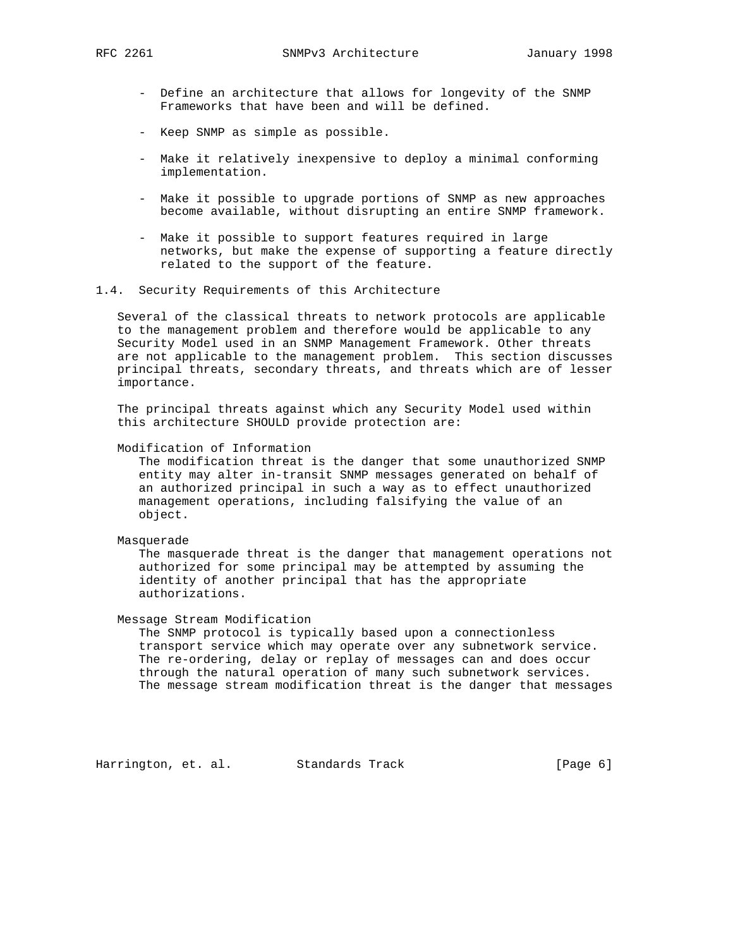- Define an architecture that allows for longevity of the SNMP Frameworks that have been and will be defined.
- Keep SNMP as simple as possible.
- Make it relatively inexpensive to deploy a minimal conforming implementation.
- Make it possible to upgrade portions of SNMP as new approaches become available, without disrupting an entire SNMP framework.
- Make it possible to support features required in large networks, but make the expense of supporting a feature directly related to the support of the feature.
- 1.4. Security Requirements of this Architecture

 Several of the classical threats to network protocols are applicable to the management problem and therefore would be applicable to any Security Model used in an SNMP Management Framework. Other threats are not applicable to the management problem. This section discusses principal threats, secondary threats, and threats which are of lesser importance.

 The principal threats against which any Security Model used within this architecture SHOULD provide protection are:

Modification of Information

 The modification threat is the danger that some unauthorized SNMP entity may alter in-transit SNMP messages generated on behalf of an authorized principal in such a way as to effect unauthorized management operations, including falsifying the value of an object.

## Masquerade

 The masquerade threat is the danger that management operations not authorized for some principal may be attempted by assuming the identity of another principal that has the appropriate authorizations.

Message Stream Modification

 The SNMP protocol is typically based upon a connectionless transport service which may operate over any subnetwork service. The re-ordering, delay or replay of messages can and does occur through the natural operation of many such subnetwork services. The message stream modification threat is the danger that messages

Harrington, et. al. Standards Track (Page 6)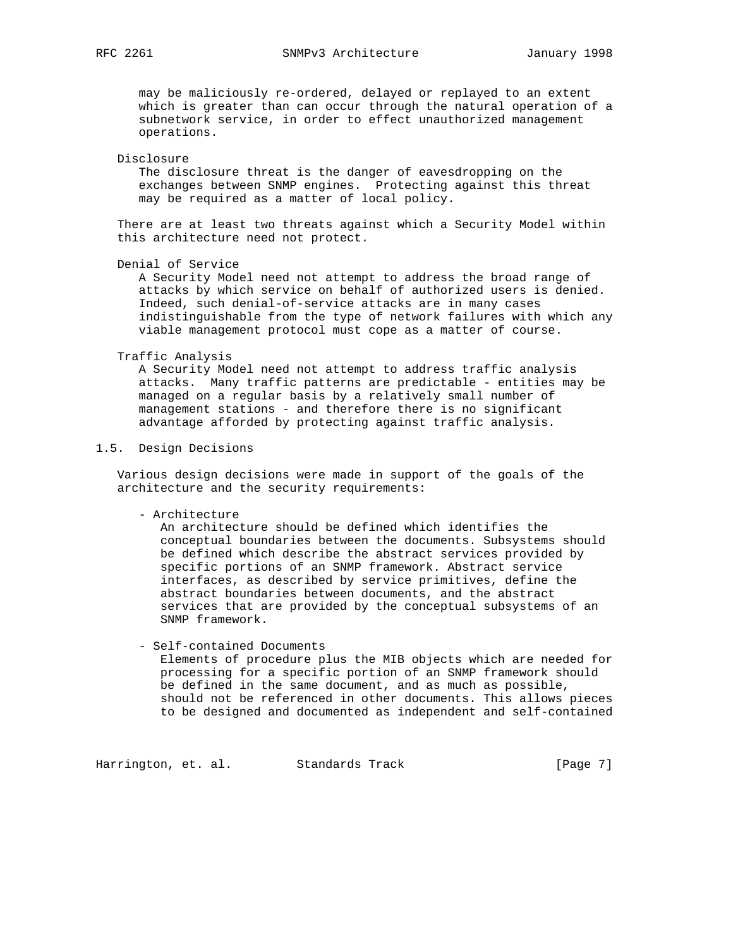may be maliciously re-ordered, delayed or replayed to an extent which is greater than can occur through the natural operation of a subnetwork service, in order to effect unauthorized management operations.

#### Disclosure

 The disclosure threat is the danger of eavesdropping on the exchanges between SNMP engines. Protecting against this threat may be required as a matter of local policy.

 There are at least two threats against which a Security Model within this architecture need not protect.

Denial of Service

 A Security Model need not attempt to address the broad range of attacks by which service on behalf of authorized users is denied. Indeed, such denial-of-service attacks are in many cases indistinguishable from the type of network failures with which any viable management protocol must cope as a matter of course.

#### Traffic Analysis

 A Security Model need not attempt to address traffic analysis attacks. Many traffic patterns are predictable - entities may be managed on a regular basis by a relatively small number of management stations - and therefore there is no significant advantage afforded by protecting against traffic analysis.

### 1.5. Design Decisions

 Various design decisions were made in support of the goals of the architecture and the security requirements:

- Architecture

 An architecture should be defined which identifies the conceptual boundaries between the documents. Subsystems should be defined which describe the abstract services provided by specific portions of an SNMP framework. Abstract service interfaces, as described by service primitives, define the abstract boundaries between documents, and the abstract services that are provided by the conceptual subsystems of an SNMP framework.

## - Self-contained Documents

 Elements of procedure plus the MIB objects which are needed for processing for a specific portion of an SNMP framework should be defined in the same document, and as much as possible, should not be referenced in other documents. This allows pieces to be designed and documented as independent and self-contained

Harrington, et. al. Standards Track (Page 7)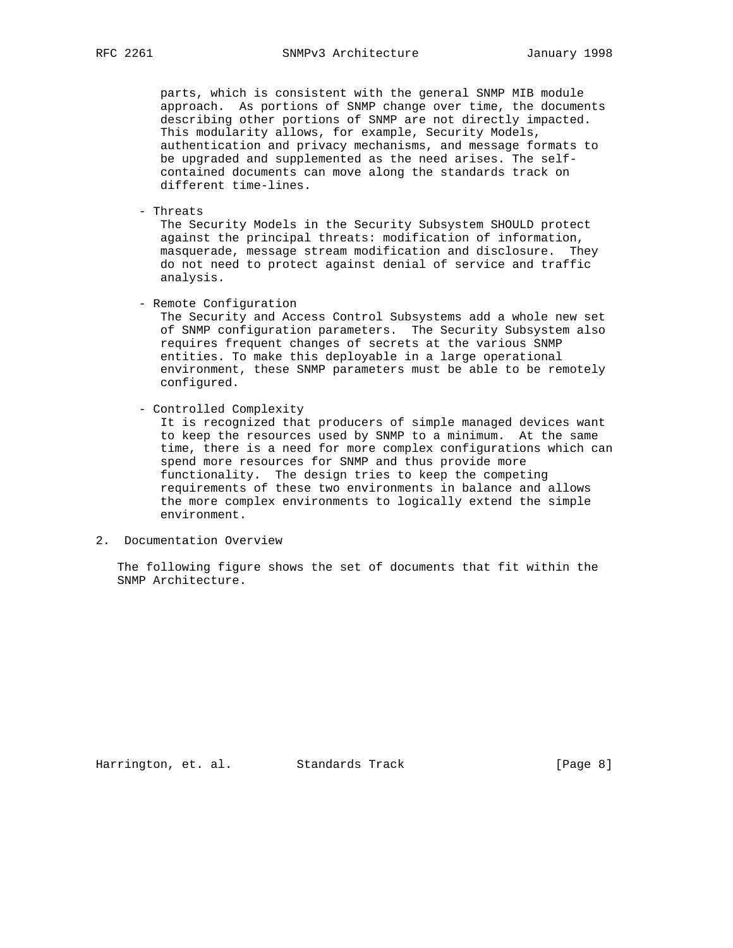parts, which is consistent with the general SNMP MIB module approach. As portions of SNMP change over time, the documents describing other portions of SNMP are not directly impacted. This modularity allows, for example, Security Models, authentication and privacy mechanisms, and message formats to be upgraded and supplemented as the need arises. The self contained documents can move along the standards track on different time-lines.

- Threats

 The Security Models in the Security Subsystem SHOULD protect against the principal threats: modification of information, masquerade, message stream modification and disclosure. They do not need to protect against denial of service and traffic analysis.

- Remote Configuration

 The Security and Access Control Subsystems add a whole new set of SNMP configuration parameters. The Security Subsystem also requires frequent changes of secrets at the various SNMP entities. To make this deployable in a large operational environment, these SNMP parameters must be able to be remotely configured.

- Controlled Complexity

 It is recognized that producers of simple managed devices want to keep the resources used by SNMP to a minimum. At the same time, there is a need for more complex configurations which can spend more resources for SNMP and thus provide more functionality. The design tries to keep the competing requirements of these two environments in balance and allows the more complex environments to logically extend the simple environment.

2. Documentation Overview

 The following figure shows the set of documents that fit within the SNMP Architecture.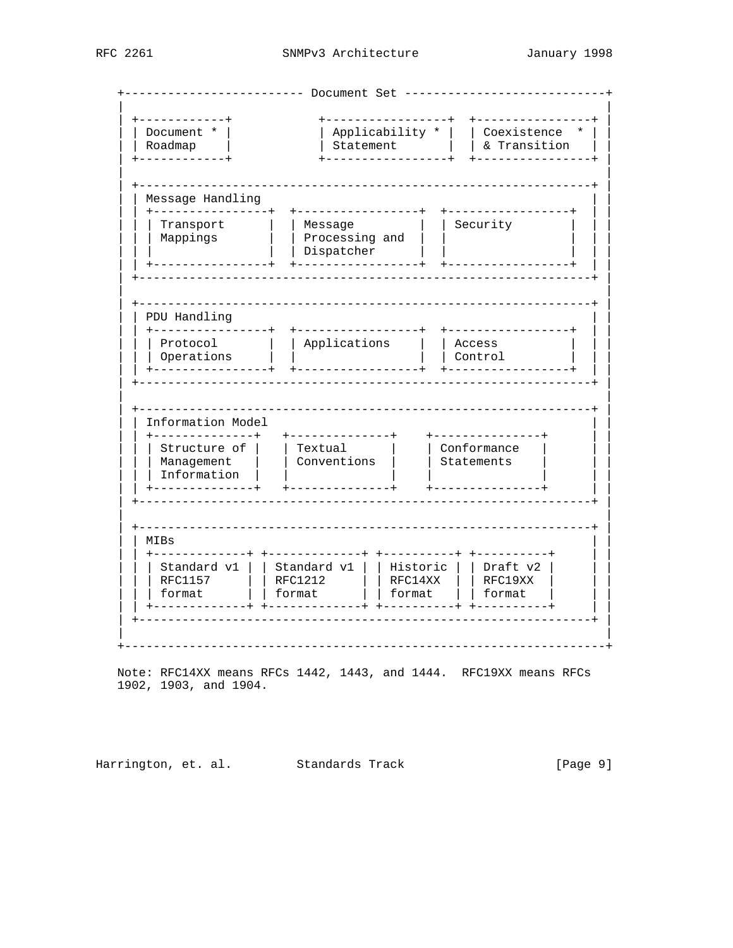| Document *<br>Roadmap<br>-----------+                                                                                                                                                                             | Applicability *<br>Statement              | ------------+ | Coexistence<br>& Transition                    |  |
|-------------------------------------------------------------------------------------------------------------------------------------------------------------------------------------------------------------------|-------------------------------------------|---------------|------------------------------------------------|--|
| Message Handling                                                                                                                                                                                                  |                                           |               |                                                |  |
| ----------------+<br>----------<br>Transport<br>Security<br>Message<br>Processing and<br>Mappings<br>Dispatcher                                                                                                   |                                           |               |                                                |  |
| PDU Handling                                                                                                                                                                                                      | -----------------+                        |               | +----------------+                             |  |
| Protocol<br>Operations                                                                                                                                                                                            | Applications                              |               | Access<br>Control                              |  |
| Information Model                                                                                                                                                                                                 |                                           |               |                                                |  |
| ------------+<br>Structure of<br>Management<br>Information                                                                                                                                                        | +-------------+<br>Textual<br>Conventions |               | +---------------+<br>Conformance<br>Statements |  |
| MIBs                                                                                                                                                                                                              |                                           |               |                                                |  |
| +----------+ +----------+<br>------------+<br>-----------<br>Standard v1<br>Standard v1<br>Historic<br>Draft v2<br><b>RFC1157</b><br><b>RFC1212</b><br>RFC14XX<br>RFC19XX<br>format<br>format<br>format<br>format |                                           |               |                                                |  |

Note: RFC14XX means RFCs 1442, 1443, and 1444. RFC19XX means RFCs 1902, 1903, and 1904.

Harrington, et. al. Standards Track  $[Page 9]$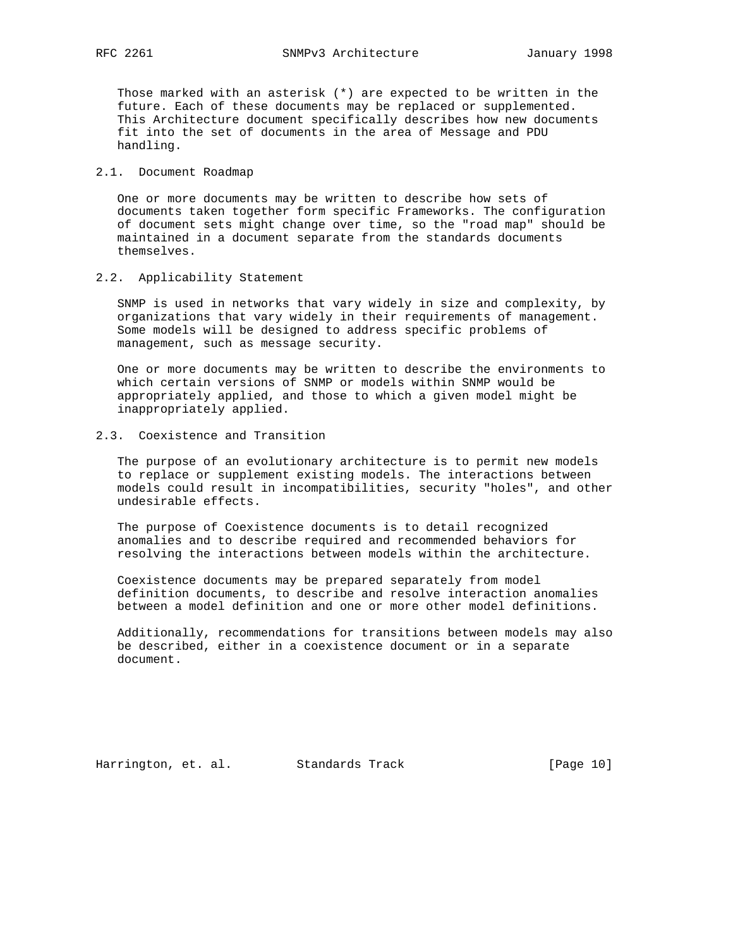Those marked with an asterisk (\*) are expected to be written in the future. Each of these documents may be replaced or supplemented. This Architecture document specifically describes how new documents fit into the set of documents in the area of Message and PDU handling.

## 2.1. Document Roadmap

 One or more documents may be written to describe how sets of documents taken together form specific Frameworks. The configuration of document sets might change over time, so the "road map" should be maintained in a document separate from the standards documents themselves.

# 2.2. Applicability Statement

 SNMP is used in networks that vary widely in size and complexity, by organizations that vary widely in their requirements of management. Some models will be designed to address specific problems of management, such as message security.

 One or more documents may be written to describe the environments to which certain versions of SNMP or models within SNMP would be appropriately applied, and those to which a given model might be inappropriately applied.

# 2.3. Coexistence and Transition

 The purpose of an evolutionary architecture is to permit new models to replace or supplement existing models. The interactions between models could result in incompatibilities, security "holes", and other undesirable effects.

 The purpose of Coexistence documents is to detail recognized anomalies and to describe required and recommended behaviors for resolving the interactions between models within the architecture.

 Coexistence documents may be prepared separately from model definition documents, to describe and resolve interaction anomalies between a model definition and one or more other model definitions.

 Additionally, recommendations for transitions between models may also be described, either in a coexistence document or in a separate document.

Harrington, et. al. Standards Track [Page 10]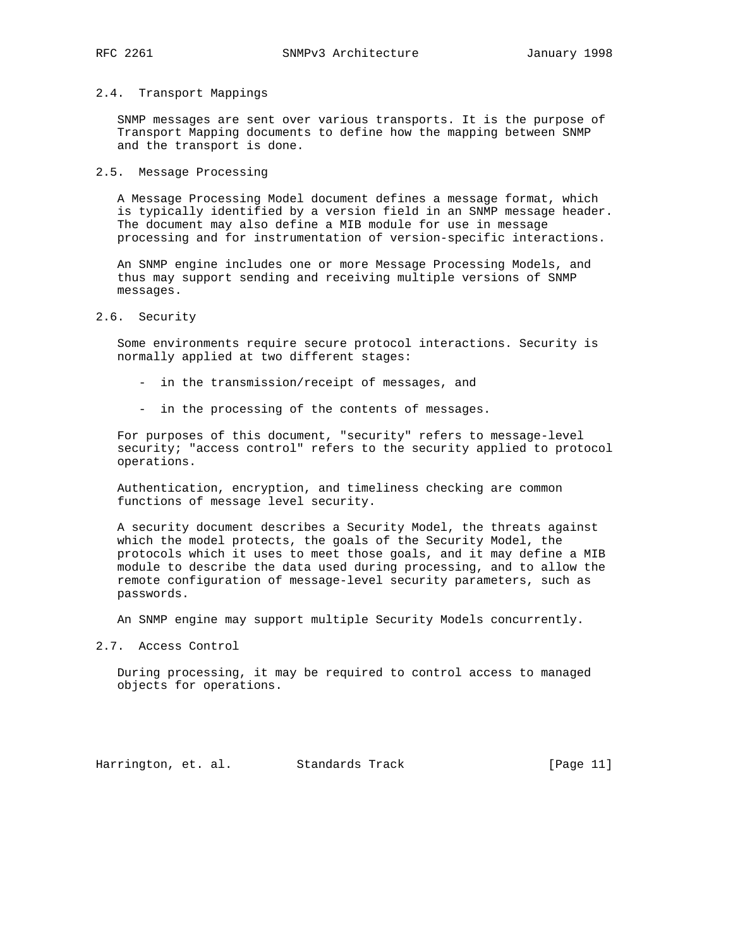#### 2.4. Transport Mappings

 SNMP messages are sent over various transports. It is the purpose of Transport Mapping documents to define how the mapping between SNMP and the transport is done.

#### 2.5. Message Processing

 A Message Processing Model document defines a message format, which is typically identified by a version field in an SNMP message header. The document may also define a MIB module for use in message processing and for instrumentation of version-specific interactions.

 An SNMP engine includes one or more Message Processing Models, and thus may support sending and receiving multiple versions of SNMP messages.

2.6. Security

 Some environments require secure protocol interactions. Security is normally applied at two different stages:

- in the transmission/receipt of messages, and
- in the processing of the contents of messages.

 For purposes of this document, "security" refers to message-level security; "access control" refers to the security applied to protocol operations.

 Authentication, encryption, and timeliness checking are common functions of message level security.

 A security document describes a Security Model, the threats against which the model protects, the goals of the Security Model, the protocols which it uses to meet those goals, and it may define a MIB module to describe the data used during processing, and to allow the remote configuration of message-level security parameters, such as passwords.

An SNMP engine may support multiple Security Models concurrently.

2.7. Access Control

 During processing, it may be required to control access to managed objects for operations.

Harrington, et. al. Standards Track [Page 11]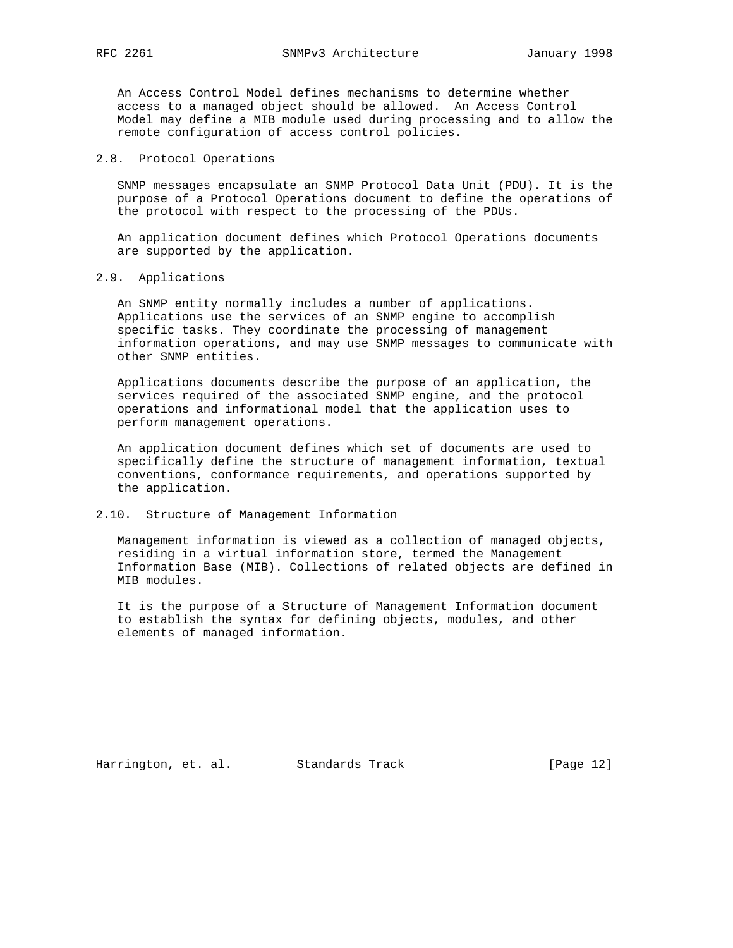An Access Control Model defines mechanisms to determine whether access to a managed object should be allowed. An Access Control Model may define a MIB module used during processing and to allow the remote configuration of access control policies.

## 2.8. Protocol Operations

 SNMP messages encapsulate an SNMP Protocol Data Unit (PDU). It is the purpose of a Protocol Operations document to define the operations of the protocol with respect to the processing of the PDUs.

 An application document defines which Protocol Operations documents are supported by the application.

## 2.9. Applications

 An SNMP entity normally includes a number of applications. Applications use the services of an SNMP engine to accomplish specific tasks. They coordinate the processing of management information operations, and may use SNMP messages to communicate with other SNMP entities.

 Applications documents describe the purpose of an application, the services required of the associated SNMP engine, and the protocol operations and informational model that the application uses to perform management operations.

 An application document defines which set of documents are used to specifically define the structure of management information, textual conventions, conformance requirements, and operations supported by the application.

## 2.10. Structure of Management Information

 Management information is viewed as a collection of managed objects, residing in a virtual information store, termed the Management Information Base (MIB). Collections of related objects are defined in MIB modules.

 It is the purpose of a Structure of Management Information document to establish the syntax for defining objects, modules, and other elements of managed information.

Harrington, et. al. Standards Track [Page 12]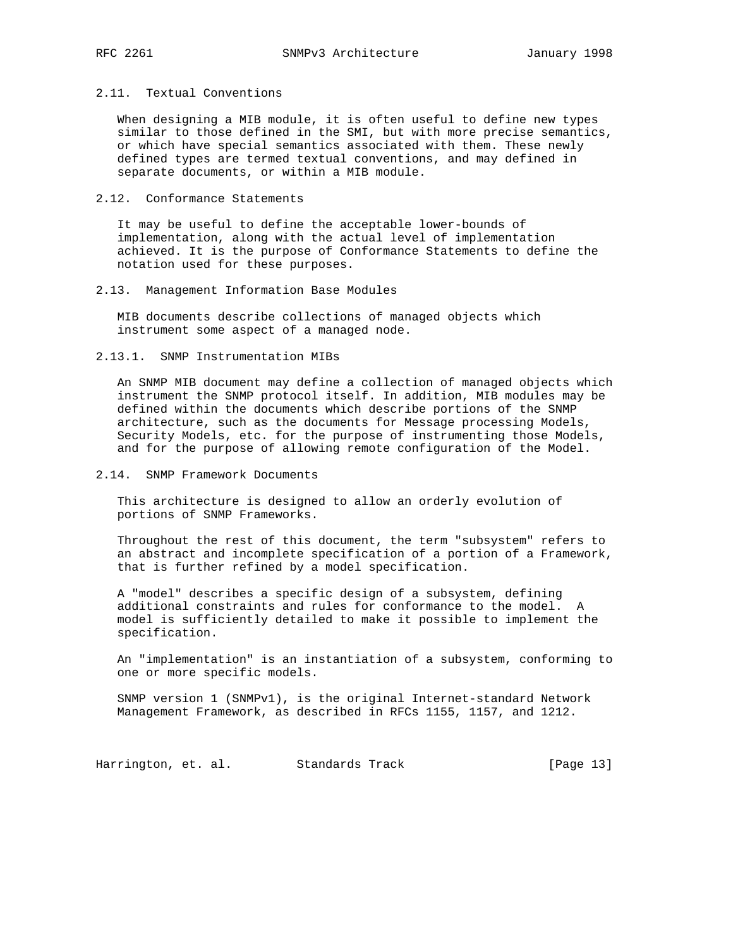#### 2.11. Textual Conventions

 When designing a MIB module, it is often useful to define new types similar to those defined in the SMI, but with more precise semantics, or which have special semantics associated with them. These newly defined types are termed textual conventions, and may defined in separate documents, or within a MIB module.

## 2.12. Conformance Statements

 It may be useful to define the acceptable lower-bounds of implementation, along with the actual level of implementation achieved. It is the purpose of Conformance Statements to define the notation used for these purposes.

#### 2.13. Management Information Base Modules

 MIB documents describe collections of managed objects which instrument some aspect of a managed node.

## 2.13.1. SNMP Instrumentation MIBs

 An SNMP MIB document may define a collection of managed objects which instrument the SNMP protocol itself. In addition, MIB modules may be defined within the documents which describe portions of the SNMP architecture, such as the documents for Message processing Models, Security Models, etc. for the purpose of instrumenting those Models, and for the purpose of allowing remote configuration of the Model.

## 2.14. SNMP Framework Documents

 This architecture is designed to allow an orderly evolution of portions of SNMP Frameworks.

 Throughout the rest of this document, the term "subsystem" refers to an abstract and incomplete specification of a portion of a Framework, that is further refined by a model specification.

 A "model" describes a specific design of a subsystem, defining additional constraints and rules for conformance to the model. A model is sufficiently detailed to make it possible to implement the specification.

 An "implementation" is an instantiation of a subsystem, conforming to one or more specific models.

 SNMP version 1 (SNMPv1), is the original Internet-standard Network Management Framework, as described in RFCs 1155, 1157, and 1212.

Harrington, et. al. Standards Track [Page 13]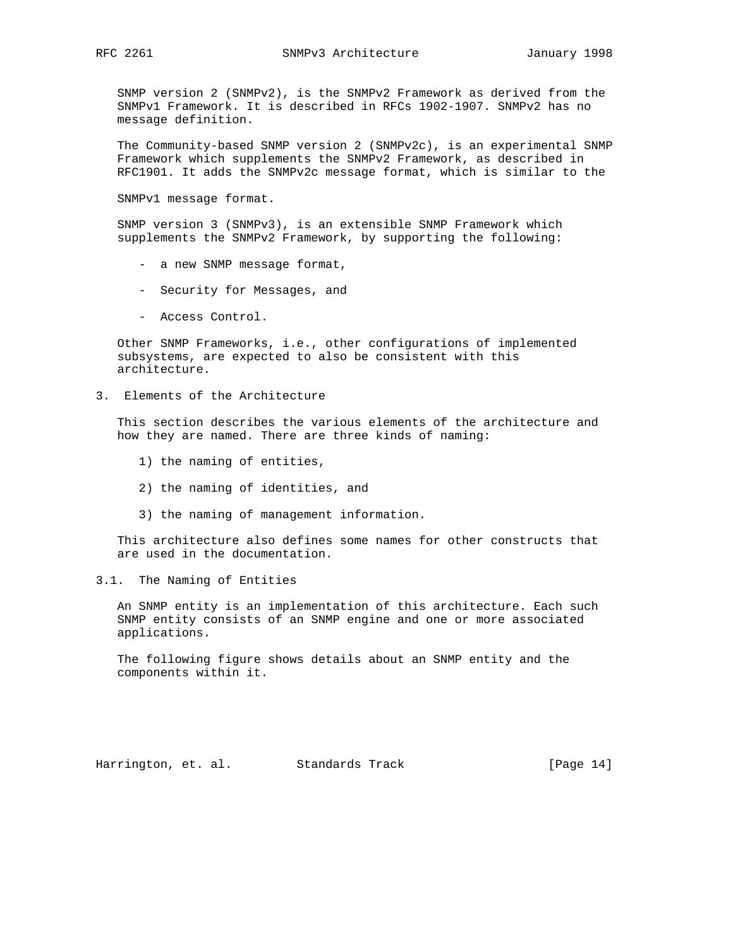SNMP version 2 (SNMPv2), is the SNMPv2 Framework as derived from the SNMPv1 Framework. It is described in RFCs 1902-1907. SNMPv2 has no message definition.

 The Community-based SNMP version 2 (SNMPv2c), is an experimental SNMP Framework which supplements the SNMPv2 Framework, as described in RFC1901. It adds the SNMPv2c message format, which is similar to the

SNMPv1 message format.

 SNMP version 3 (SNMPv3), is an extensible SNMP Framework which supplements the SNMPv2 Framework, by supporting the following:

- a new SNMP message format,
- Security for Messages, and
- Access Control.

 Other SNMP Frameworks, i.e., other configurations of implemented subsystems, are expected to also be consistent with this architecture.

3. Elements of the Architecture

 This section describes the various elements of the architecture and how they are named. There are three kinds of naming:

- 1) the naming of entities,
- 2) the naming of identities, and
- 3) the naming of management information.

 This architecture also defines some names for other constructs that are used in the documentation.

3.1. The Naming of Entities

 An SNMP entity is an implementation of this architecture. Each such SNMP entity consists of an SNMP engine and one or more associated applications.

 The following figure shows details about an SNMP entity and the components within it.

Harrington, et. al. Standards Track [Page 14]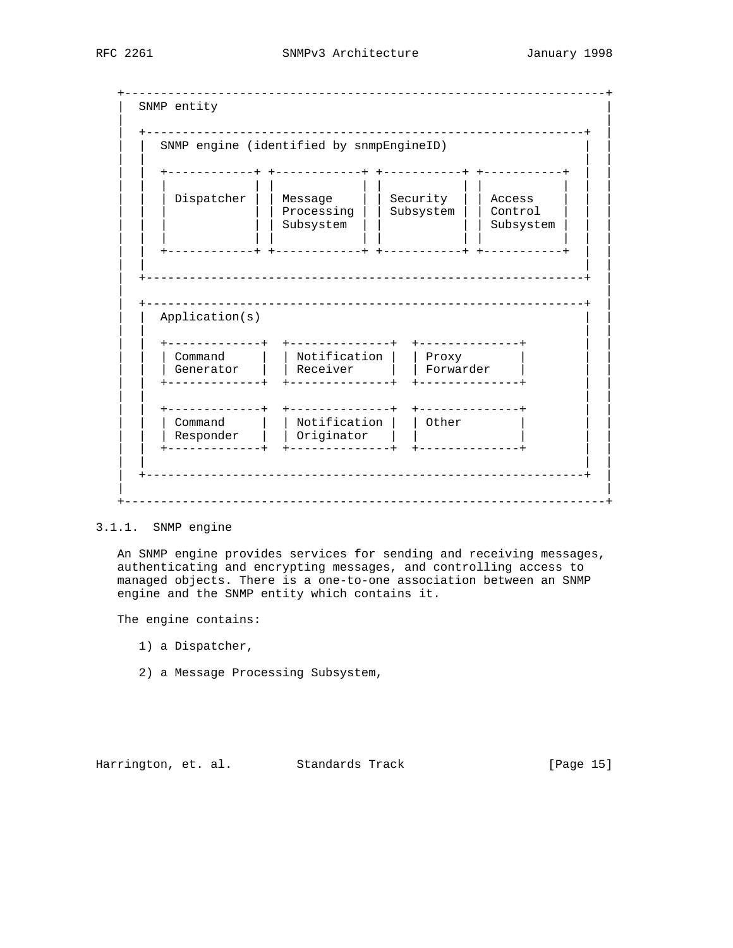+-------------------------------------------------------------------+ SNMP entity | | | +-------------------------------------------------------------+ | SNMP engine (identified by snmpEngineID) | | | | | | +------------+ +------------+ +-----------+ +-----------+ | | | | | | | | | | | | | | | | | Dispatcher | | Message | | Security | | Access | | | | | | | | Processing | | Subsystem | | Control | | | | | | | | Subsystem | | | | Subsystem | | | | | | | | | | | | | | | | | +------------+ +------------+ +-----------+ +-----------+ | | | | | | | +-------------------------------------------------------------+ | | | | +-------------------------------------------------------------+ | Application(s) | | | | | | +-------------+ +--------------+ +--------------+ | | | Command | | Notification | | Proxy | Generator | | Receiver | | Forwarder | | | +-------------+ +--------------+ +--------------+ | | | | | | | | +-------------+ +--------------+ +--------------+ | | | | | Command | | Notification | | Other | | | | | | Responder | | Originator | | | | | | | +-------------+ +--------------+ +--------------+ | | | | | | | +-------------------------------------------------------------+ | | | +-------------------------------------------------------------------+

## 3.1.1. SNMP engine

 An SNMP engine provides services for sending and receiving messages, authenticating and encrypting messages, and controlling access to managed objects. There is a one-to-one association between an SNMP engine and the SNMP entity which contains it.

The engine contains:

- 1) a Dispatcher,
- 2) a Message Processing Subsystem,

Harrington, et. al. Standards Track [Page 15]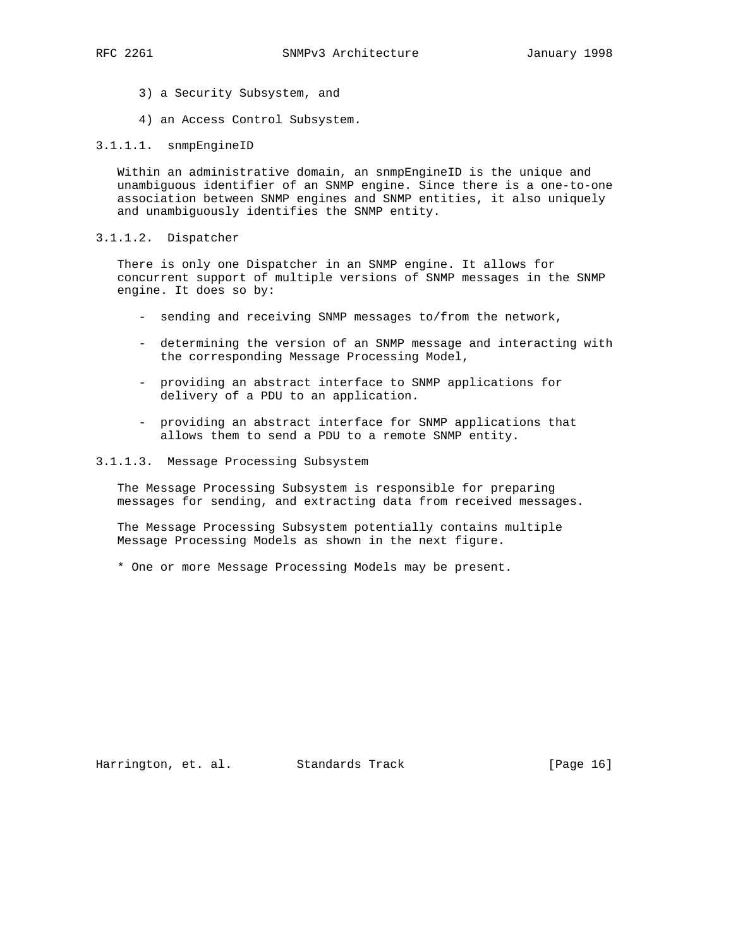- 3) a Security Subsystem, and
- 4) an Access Control Subsystem.

#### 3.1.1.1. snmpEngineID

 Within an administrative domain, an snmpEngineID is the unique and unambiguous identifier of an SNMP engine. Since there is a one-to-one association between SNMP engines and SNMP entities, it also uniquely and unambiguously identifies the SNMP entity.

# 3.1.1.2. Dispatcher

 There is only one Dispatcher in an SNMP engine. It allows for concurrent support of multiple versions of SNMP messages in the SNMP engine. It does so by:

- sending and receiving SNMP messages to/from the network,
- determining the version of an SNMP message and interacting with the corresponding Message Processing Model,
- providing an abstract interface to SNMP applications for delivery of a PDU to an application.
- providing an abstract interface for SNMP applications that allows them to send a PDU to a remote SNMP entity.

## 3.1.1.3. Message Processing Subsystem

 The Message Processing Subsystem is responsible for preparing messages for sending, and extracting data from received messages.

 The Message Processing Subsystem potentially contains multiple Message Processing Models as shown in the next figure.

\* One or more Message Processing Models may be present.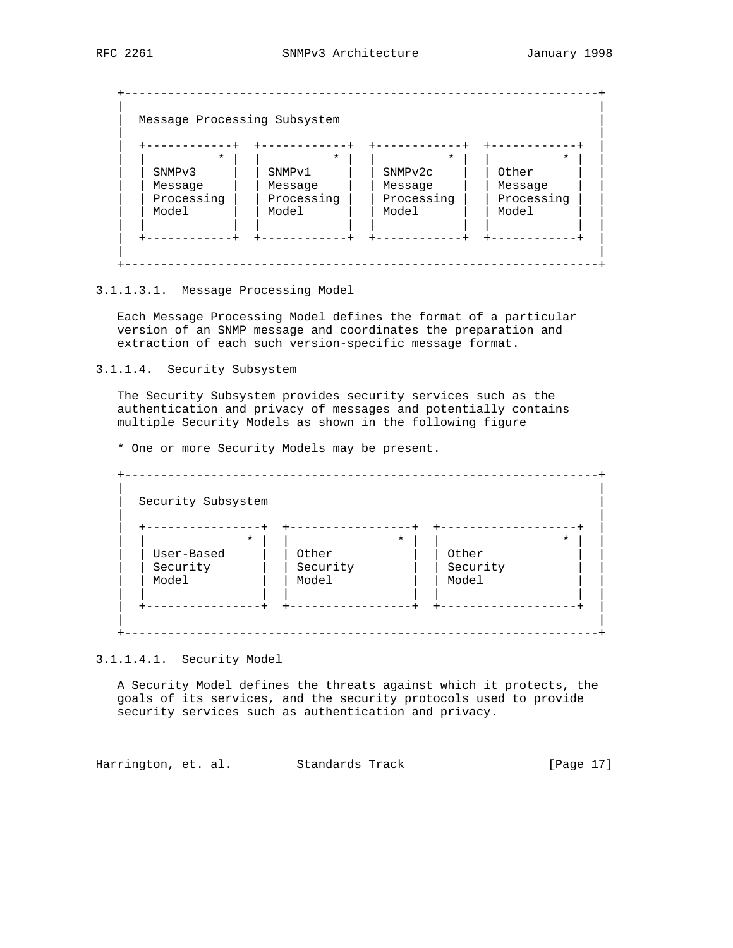| $\star$            | $\star$            | $\star$             | $\star$    |
|--------------------|--------------------|---------------------|------------|
| SNMP <sub>v3</sub> | SNMP <sub>v1</sub> | SNMP <sub>v2c</sub> | Other      |
| Message            | Message            | Message             | Message    |
| Processing         | Processing         | Processing          | Processing |
| Model              | Model              | Model               | Model      |

3.1.1.3.1. Message Processing Model

 Each Message Processing Model defines the format of a particular version of an SNMP message and coordinates the preparation and extraction of each such version-specific message format.

3.1.1.4. Security Subsystem

 The Security Subsystem provides security services such as the authentication and privacy of messages and potentially contains multiple Security Models as shown in the following figure

\* One or more Security Models may be present.

 +------------------------------------------------------------------+ | | Security Subsystem | | | +----------------+ +-----------------+ +-------------------+ | | | \* | | \* | | \* | | | | User-Based | | Other | | Other | | | | Security | | Security | | Security | | | | Model | | Model | | | Model | | | | | | | | | | | +----------------+ +-----------------+ +-------------------+ | | | +------------------------------------------------------------------+

3.1.1.4.1. Security Model

 A Security Model defines the threats against which it protects, the goals of its services, and the security protocols used to provide security services such as authentication and privacy.

Harrington, et. al. Standards Track [Page 17]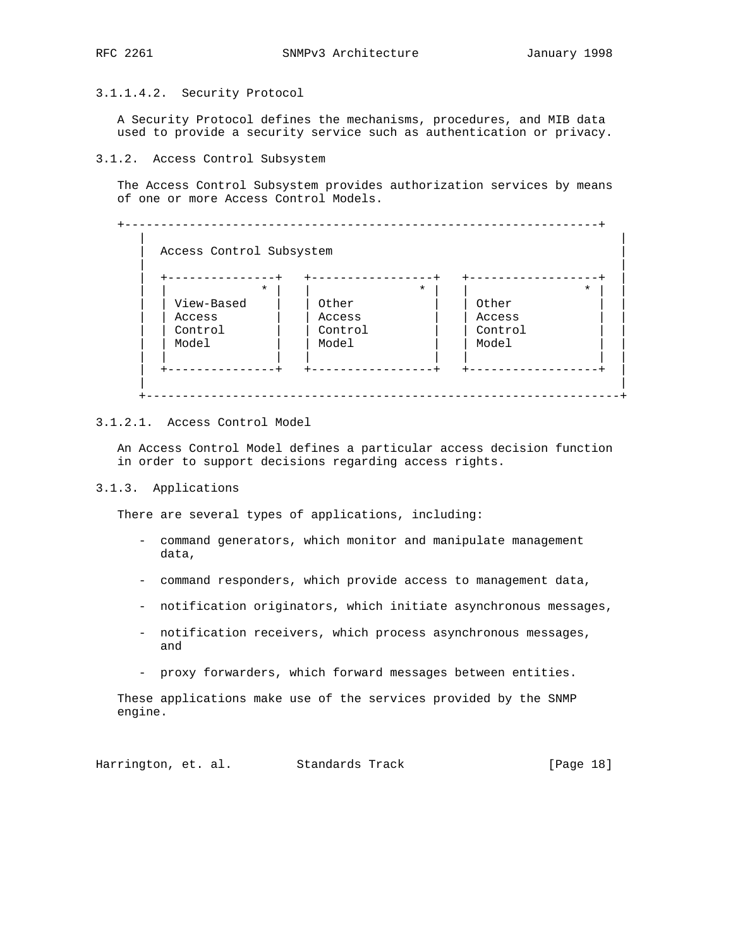# 3.1.1.4.2. Security Protocol

 A Security Protocol defines the mechanisms, procedures, and MIB data used to provide a security service such as authentication or privacy.

#### 3.1.2. Access Control Subsystem

 The Access Control Subsystem provides authorization services by means of one or more Access Control Models.

 +------------------------------------------------------------------+ | | Access Control Subsystem | | | +---------------+ +-----------------+ +------------------+ | | | \* | | \* | | \* | | | | View-Based | | Other | | | Other | | | | | Access | | Access | | Access | | | | Control | | Control | | Control | | | | Model | | Model | | | Model | | | | | | | | | | | +---------------+ +-----------------+ +------------------+ | | | +------------------------------------------------------------------+

# 3.1.2.1. Access Control Model

 An Access Control Model defines a particular access decision function in order to support decisions regarding access rights.

#### 3.1.3. Applications

There are several types of applications, including:

- command generators, which monitor and manipulate management data,
- command responders, which provide access to management data,
- notification originators, which initiate asynchronous messages,
- notification receivers, which process asynchronous messages, and
- proxy forwarders, which forward messages between entities.

 These applications make use of the services provided by the SNMP engine.

Harrington, et. al. Standards Track [Page 18]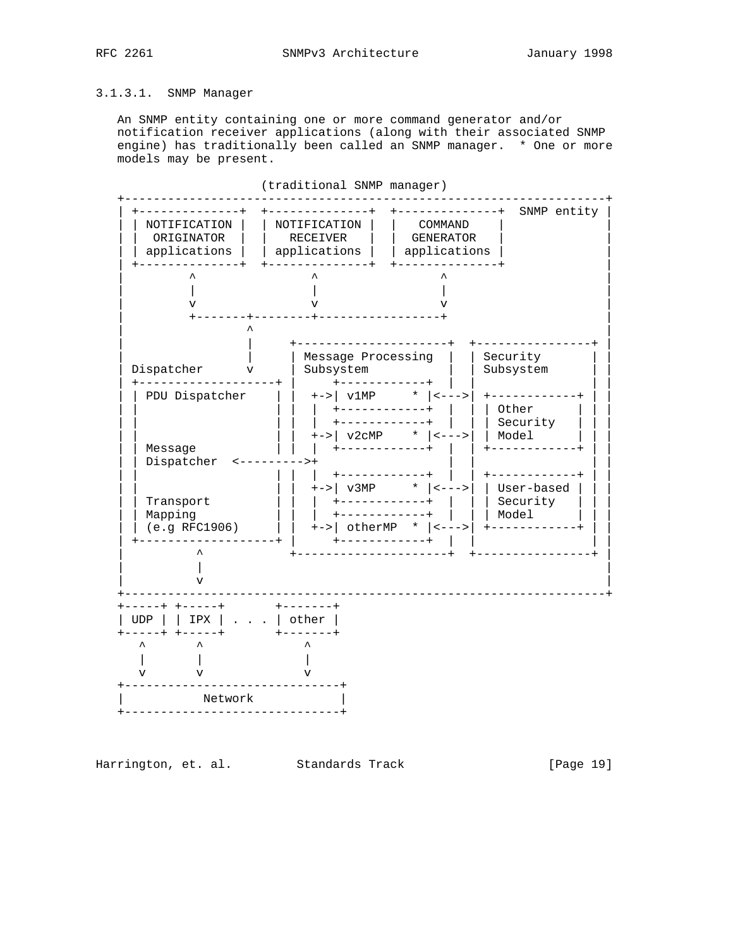# 3.1.3.1. SNMP Manager

 An SNMP entity containing one or more command generator and/or notification receiver applications (along with their associated SNMP engine) has traditionally been called an SNMP manager. \* One or more models may be present.



(traditional SNMP manager)

Harrington, et. al. Standards Track [Page 19]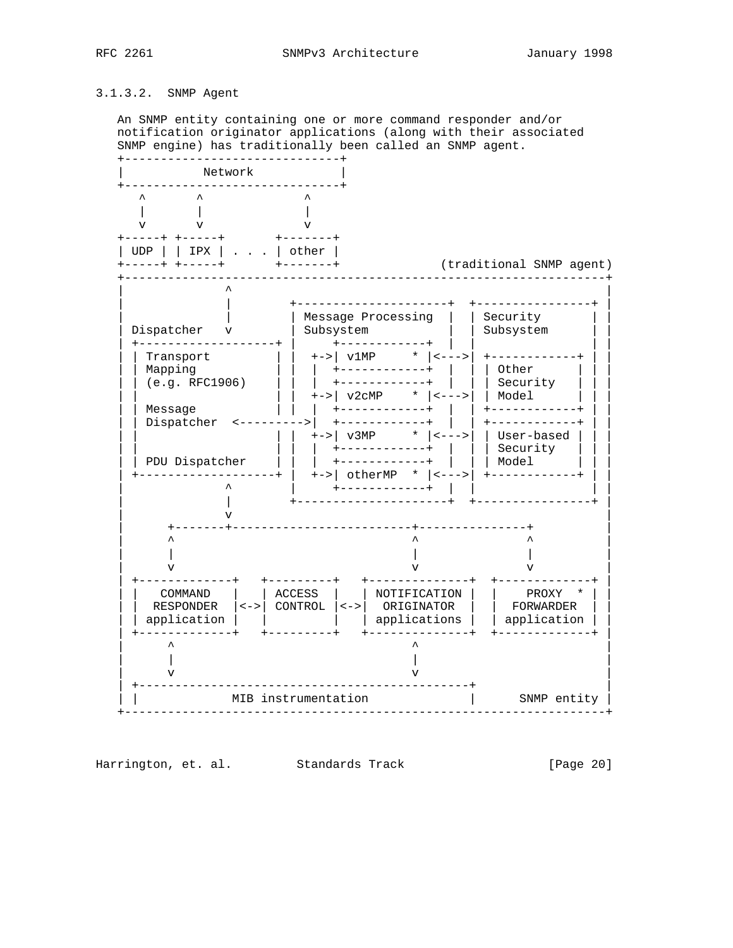# 3.1.3.2. SNMP Agent

 An SNMP entity containing one or more command responder and/or notification originator applications (along with their associated SNMP engine) has traditionally been called an SNMP agent.



Harrington, et. al. Standards Track [Page 20]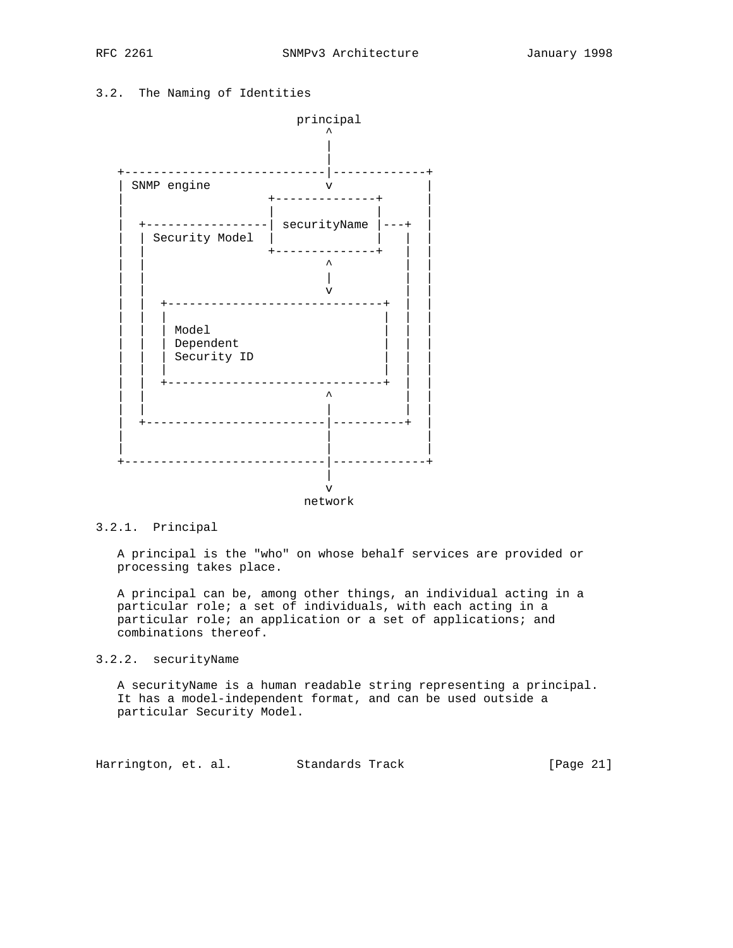# 3.2. The Naming of Identities



## 3.2.1. Principal

 A principal is the "who" on whose behalf services are provided or processing takes place.

 A principal can be, among other things, an individual acting in a particular role; a set of individuals, with each acting in a particular role; an application or a set of applications; and combinations thereof.

# 3.2.2. securityName

 A securityName is a human readable string representing a principal. It has a model-independent format, and can be used outside a particular Security Model.

Harrington, et. al. Standards Track [Page 21]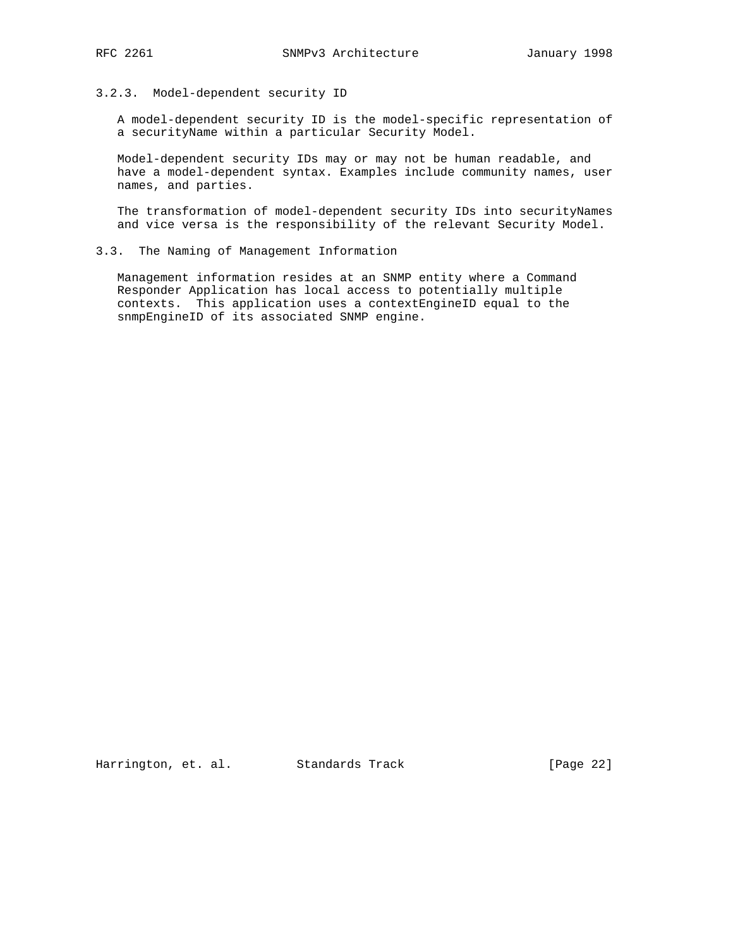#### 3.2.3. Model-dependent security ID

 A model-dependent security ID is the model-specific representation of a securityName within a particular Security Model.

 Model-dependent security IDs may or may not be human readable, and have a model-dependent syntax. Examples include community names, user names, and parties.

The transformation of model-dependent security IDs into securityNames and vice versa is the responsibility of the relevant Security Model.

#### 3.3. The Naming of Management Information

 Management information resides at an SNMP entity where a Command Responder Application has local access to potentially multiple contexts. This application uses a contextEngineID equal to the snmpEngineID of its associated SNMP engine.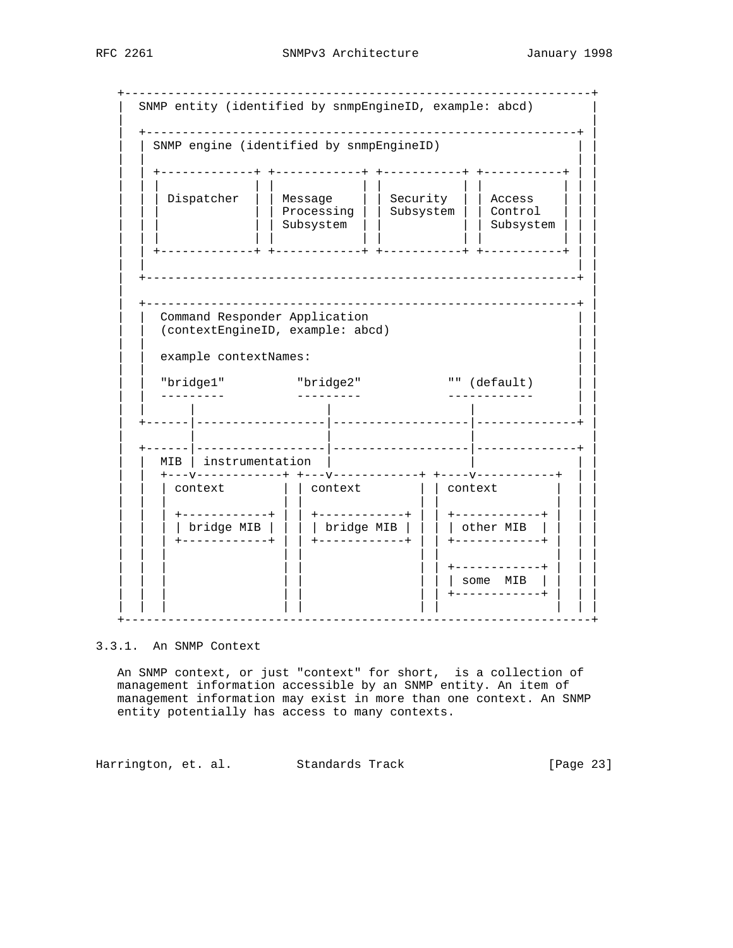+-----------------------------------------------------------------+ SNMP entity (identified by snmpEngineID, example: abcd) | | | +------------------------------------------------------------+ | SNMP engine (identified by snmpEngineID) | | | | | | +-------------+ +------------+ +-----------+ +-----------+ | | | | | | | | | | | | | | | | | Dispatcher | | Message | | Security | | Access | | | | | | | | Processing | | Subsystem | | Control | | | | | | | | Subsystem | | | | Subsystem | | | | | | | | | | | | | | | | | +-------------+ +------------+ +-----------+ +-----------+ | | | | | | | +------------------------------------------------------------+ | | | | +------------------------------------------------------------+ | Command Responder Application | | (contextEngineID, example: abcd) | | | | | | example contextNames: | | | | | | "bridge1" "bridge2" "" (default) | | | | --------- --------- ------------ | | | | | | | | | | +------|------------------|-------------------|--------------+ | | | | | | | +------|------------------|-------------------|--------------+ | <code>MIB</code> | instrumentation |  $+--v-----------++$   $+--v----------++$   $+--v-----v---+---+--+$  $|$  context  $|$   $|$  context  $|$   $|$  context | | | | | | | | | | | | | +------------+ | | +------------+ | | +------------+ | | | | | | | bridge MIB | | | | bridge MIB | | | | other MIB | | | | | | | +------------+ | | +------------+ | | +------------+ | | | | | | | | | | | | | | | | | | | | +------------+ | | |  $|$  some MIB  $|$  | | | | | | | +------------+ | | | | | | | | | | | | | +-----------------------------------------------------------------+

3.3.1. An SNMP Context

 An SNMP context, or just "context" for short, is a collection of management information accessible by an SNMP entity. An item of management information may exist in more than one context. An SNMP entity potentially has access to many contexts.

Harrington, et. al. Standards Track [Page 23]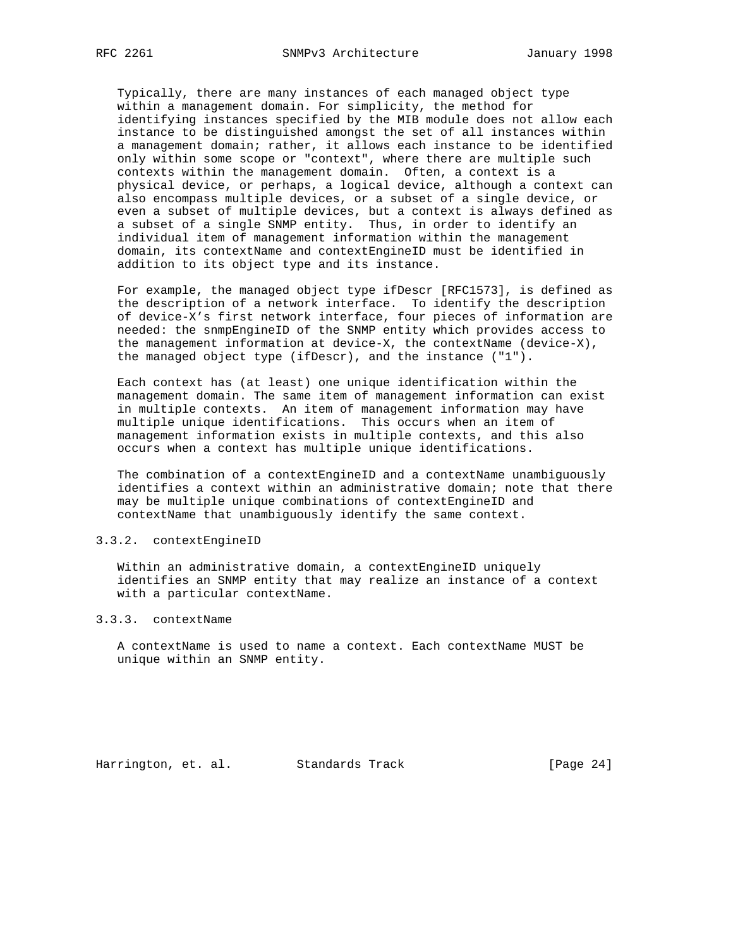Typically, there are many instances of each managed object type within a management domain. For simplicity, the method for identifying instances specified by the MIB module does not allow each instance to be distinguished amongst the set of all instances within a management domain; rather, it allows each instance to be identified only within some scope or "context", where there are multiple such contexts within the management domain. Often, a context is a physical device, or perhaps, a logical device, although a context can also encompass multiple devices, or a subset of a single device, or even a subset of multiple devices, but a context is always defined as a subset of a single SNMP entity. Thus, in order to identify an individual item of management information within the management domain, its contextName and contextEngineID must be identified in addition to its object type and its instance.

 For example, the managed object type ifDescr [RFC1573], is defined as the description of a network interface. To identify the description of device-X's first network interface, four pieces of information are needed: the snmpEngineID of the SNMP entity which provides access to the management information at device-X, the contextName (device-X), the managed object type (ifDescr), and the instance ("1").

 Each context has (at least) one unique identification within the management domain. The same item of management information can exist in multiple contexts. An item of management information may have multiple unique identifications. This occurs when an item of management information exists in multiple contexts, and this also occurs when a context has multiple unique identifications.

 The combination of a contextEngineID and a contextName unambiguously identifies a context within an administrative domain; note that there may be multiple unique combinations of contextEngineID and contextName that unambiguously identify the same context.

## 3.3.2. contextEngineID

 Within an administrative domain, a contextEngineID uniquely identifies an SNMP entity that may realize an instance of a context with a particular contextName.

#### 3.3.3. contextName

 A contextName is used to name a context. Each contextName MUST be unique within an SNMP entity.

Harrington, et. al. Standards Track [Page 24]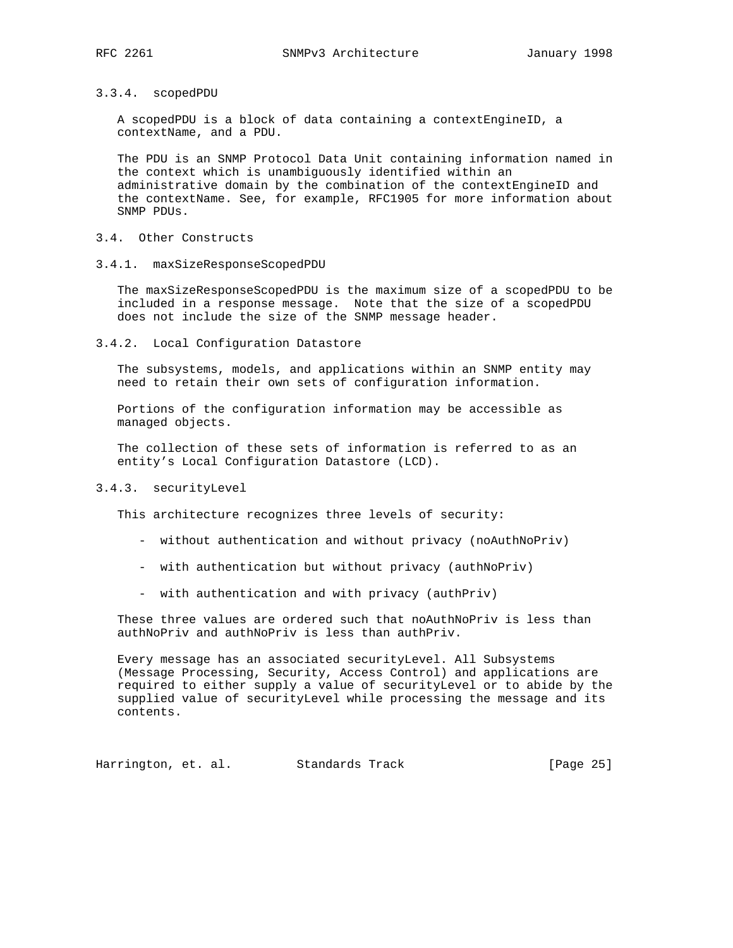## 3.3.4. scopedPDU

 A scopedPDU is a block of data containing a contextEngineID, a contextName, and a PDU.

 The PDU is an SNMP Protocol Data Unit containing information named in the context which is unambiguously identified within an administrative domain by the combination of the contextEngineID and the contextName. See, for example, RFC1905 for more information about SNMP PDUs.

## 3.4. Other Constructs

3.4.1. maxSizeResponseScopedPDU

 The maxSizeResponseScopedPDU is the maximum size of a scopedPDU to be included in a response message. Note that the size of a scopedPDU does not include the size of the SNMP message header.

3.4.2. Local Configuration Datastore

 The subsystems, models, and applications within an SNMP entity may need to retain their own sets of configuration information.

 Portions of the configuration information may be accessible as managed objects.

 The collection of these sets of information is referred to as an entity's Local Configuration Datastore (LCD).

#### 3.4.3. securityLevel

This architecture recognizes three levels of security:

- without authentication and without privacy (noAuthNoPriv)
- with authentication but without privacy (authNoPriv)
- with authentication and with privacy (authPriv)

 These three values are ordered such that noAuthNoPriv is less than authNoPriv and authNoPriv is less than authPriv.

 Every message has an associated securityLevel. All Subsystems (Message Processing, Security, Access Control) and applications are required to either supply a value of securityLevel or to abide by the supplied value of securityLevel while processing the message and its contents.

Harrington, et. al. Standards Track [Page 25]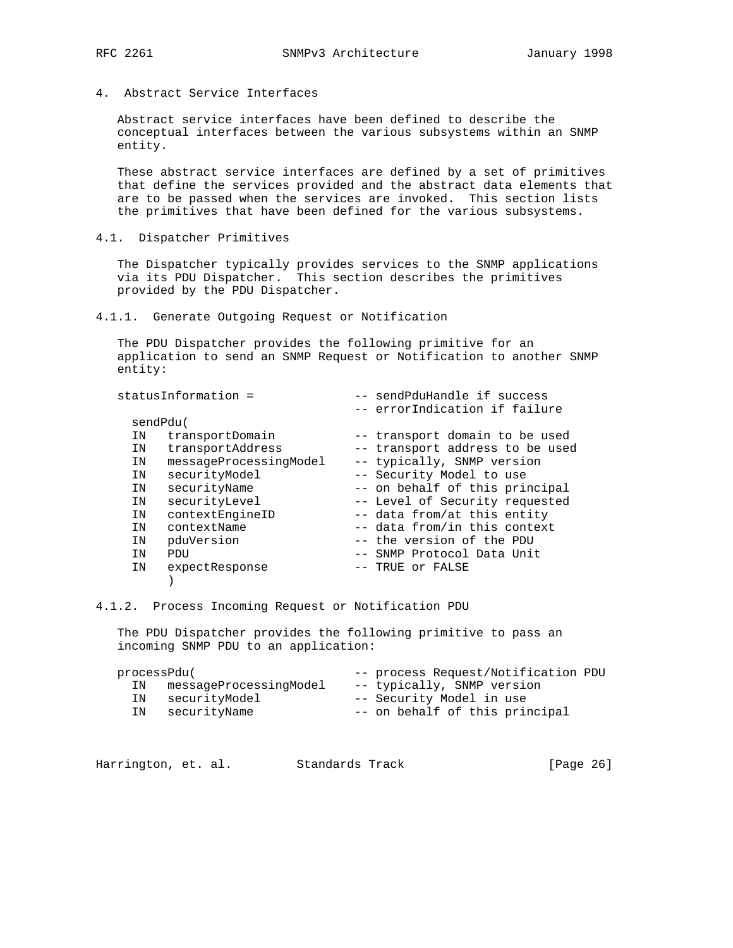4. Abstract Service Interfaces

 Abstract service interfaces have been defined to describe the conceptual interfaces between the various subsystems within an SNMP entity.

 These abstract service interfaces are defined by a set of primitives that define the services provided and the abstract data elements that are to be passed when the services are invoked. This section lists the primitives that have been defined for the various subsystems.

4.1. Dispatcher Primitives

 The Dispatcher typically provides services to the SNMP applications via its PDU Dispatcher. This section describes the primitives provided by the PDU Dispatcher.

4.1.1. Generate Outgoing Request or Notification

 The PDU Dispatcher provides the following primitive for an application to send an SNMP Request or Notification to another SNMP entity:

| statusInformation = |                        | -- sendPduHandle if success<br>-- errorIndication if failure |
|---------------------|------------------------|--------------------------------------------------------------|
|                     | sendPdu(               |                                                              |
| ΙN                  | transportDomain        | -- transport domain to be used                               |
| ΙN                  | transportAddress       | -- transport address to be used                              |
| ΙN                  | messageProcessingModel | -- typically, SNMP version                                   |
| ΙN                  | securityModel          | -- Security Model to use                                     |
| ΙN                  | securityName           | -- on behalf of this principal                               |
| ΙN                  | securityLevel          | -- Level of Security requested                               |
| ΙN                  | contextEngineID        | -- data from/at this entity                                  |
| ΙN                  | contextName            | -- data from/in this context                                 |
| ΙN                  | pduVersion             | -- the version of the PDU                                    |
| IN                  | PDU                    | -- SNMP Protocol Data Unit                                   |
| ΙN                  | expectResponse         | -- TRUE or FALSE                                             |
|                     |                        |                                                              |
|                     |                        |                                                              |

4.1.2. Process Incoming Request or Notification PDU

 The PDU Dispatcher provides the following primitive to pass an incoming SNMP PDU to an application:

| processPdu( |                        | -- process Request/Notification PDU |
|-------------|------------------------|-------------------------------------|
| IN          | messageProcessingModel | -- typically, SNMP version          |
|             | IN securityModel       | -- Security Model in use            |
|             | IN securityName        | -- on behalf of this principal      |

| [Page 26]<br>Harrington, et. al.<br>Standards Track |  |  |  |
|-----------------------------------------------------|--|--|--|
|-----------------------------------------------------|--|--|--|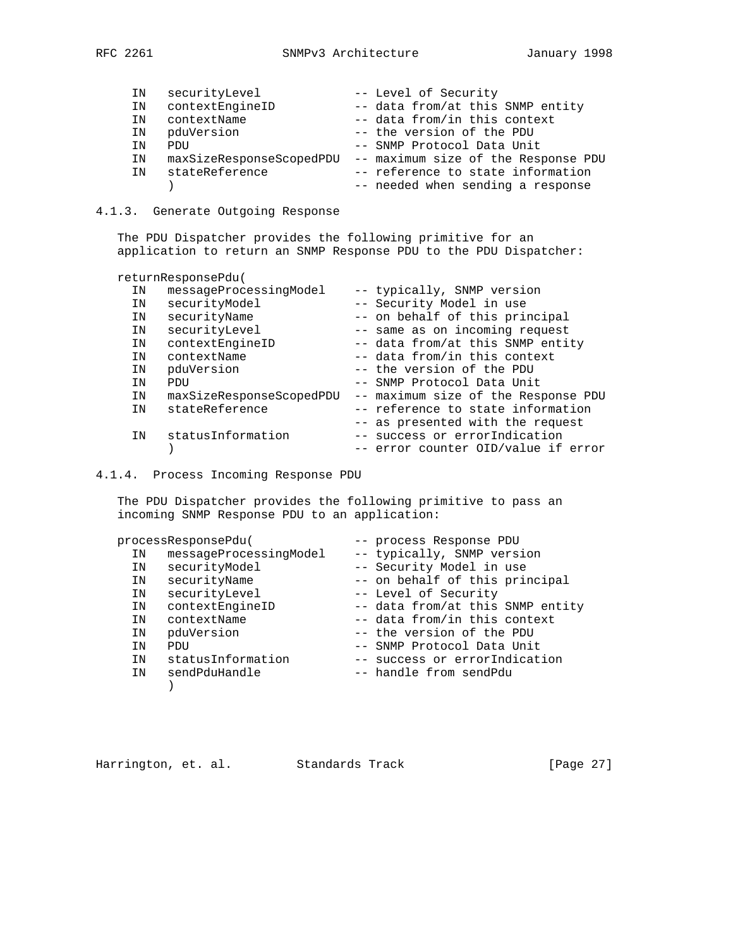| IN | securityLevel            | -- Level of Security                |
|----|--------------------------|-------------------------------------|
| IN | contextEngineID          | -- data from/at this SNMP entity    |
| ΙN | contextName              | -- data from/in this context        |
| IN | pduVersion               | -- the version of the PDU           |
| ΤN | PDIJ                     | -- SNMP Protocol Data Unit          |
| ΙN | maxSizeResponseScopedPDU | -- maximum size of the Response PDU |
| IN | stateReference           | -- reference to state information   |
|    |                          | -- needed when sending a response   |
|    |                          |                                     |

# 4.1.3. Generate Outgoing Response

 The PDU Dispatcher provides the following primitive for an application to return an SNMP Response PDU to the PDU Dispatcher:

|    | returnResponsePdu(       |                                     |
|----|--------------------------|-------------------------------------|
| ΙN | messageProcessingModel   | -- typically, SNMP version          |
| ΙN | securityModel            | -- Security Model in use            |
| ΙN | securityName             | -- on behalf of this principal      |
| IN | securityLevel            | -- same as on incoming request      |
| ΙN | contextEngineID          | -- data from/at this SNMP entity    |
| ΙN | contextName              | -- data from/in this context        |
| ΙN | pduVersion               | -- the version of the PDU           |
| ΙN | PDU                      | -- SNMP Protocol Data Unit          |
| IN | maxSizeResponseScopedPDU | -- maximum size of the Response PDU |
| ΙN | stateReference           | -- reference to state information   |
|    |                          | -- as presented with the request    |
| ΙN | statusInformation        | -- success or errorIndication       |
|    |                          | -- error counter OID/value if error |

4.1.4. Process Incoming Response PDU

 The PDU Dispatcher provides the following primitive to pass an incoming SNMP Response PDU to an application:

| processResponsePdu( |                        | -- process Response PDU          |
|---------------------|------------------------|----------------------------------|
| ΙN                  | messageProcessingModel | -- typically, SNMP version       |
| ΙN                  | securityModel          | -- Security Model in use         |
| ΙN                  | securityName           | -- on behalf of this principal   |
| IN                  | securityLevel          | -- Level of Security             |
| ΙN                  | contextEngineID        | -- data from/at this SNMP entity |
| ΙN                  | contextName            | -- data from/in this context     |
| IN                  | pduVersion             | -- the version of the PDU        |
| ΙN                  | PDU                    | -- SNMP Protocol Data Unit       |
| ΙN                  | statusInformation      | -- success or errorIndication    |
| IN                  | sendPduHandle          | -- handle from sendPdu           |
|                     |                        |                                  |

| [Page 27]<br>Harrington, et. al.<br>Standards Track |  |  |  |  |  |
|-----------------------------------------------------|--|--|--|--|--|
|-----------------------------------------------------|--|--|--|--|--|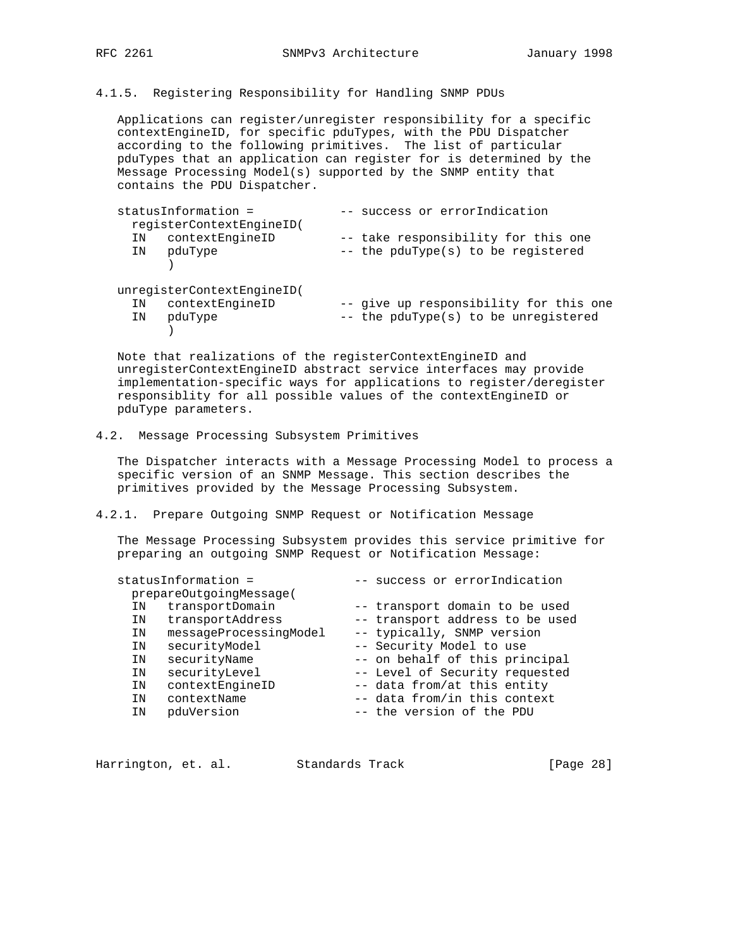# 4.1.5. Registering Responsibility for Handling SNMP PDUs

 Applications can register/unregister responsibility for a specific contextEngineID, for specific pduTypes, with the PDU Dispatcher according to the following primitives. The list of particular pduTypes that an application can register for is determined by the Message Processing Model(s) supported by the SNMP entity that contains the PDU Dispatcher.

| statusInformation =<br>reqisterContextEngineID( | -- success or errorIndication                                             |
|-------------------------------------------------|---------------------------------------------------------------------------|
| contextEngineID<br>ΙN<br>pduType<br>IN          | -- take responsibility for this one<br>-- the pduType(s) to be registered |
| unregisterContextEngineID(                      |                                                                           |
| contextEngineID<br>IN                           | -- give up responsibility for this one                                    |
| pduType<br>IN                                   | -- the pduType(s) to be unregistered                                      |
|                                                 |                                                                           |

 Note that realizations of the registerContextEngineID and unregisterContextEngineID abstract service interfaces may provide implementation-specific ways for applications to register/deregister responsiblity for all possible values of the contextEngineID or pduType parameters.

## 4.2. Message Processing Subsystem Primitives

 The Dispatcher interacts with a Message Processing Model to process a specific version of an SNMP Message. This section describes the primitives provided by the Message Processing Subsystem.

# 4.2.1. Prepare Outgoing SNMP Request or Notification Message

 The Message Processing Subsystem provides this service primitive for preparing an outgoing SNMP Request or Notification Message:

|    | statusInformation =     | -- success or errorIndication   |
|----|-------------------------|---------------------------------|
|    | prepareOutgoingMessage( |                                 |
| ΙN | transportDomain         | -- transport domain to be used  |
| ΙN | transportAddress        | -- transport address to be used |
| ΙN | messageProcessingModel  | -- typically, SNMP version      |
| ΙN | securityModel           | -- Security Model to use        |
| ΙN | securityName            | -- on behalf of this principal  |
| IN | securityLevel           | -- Level of Security requested  |
| IN | contextEngineID         | -- data from/at this entity     |
| ΙN | contextName             | -- data from/in this context    |
| ΙN | pduVersion              | -- the version of the PDU       |
|    |                         |                                 |

| [Page 28]<br>Harrington, et. al.<br>Standards Track |  |  |  |  |  |  |  |  |
|-----------------------------------------------------|--|--|--|--|--|--|--|--|
|-----------------------------------------------------|--|--|--|--|--|--|--|--|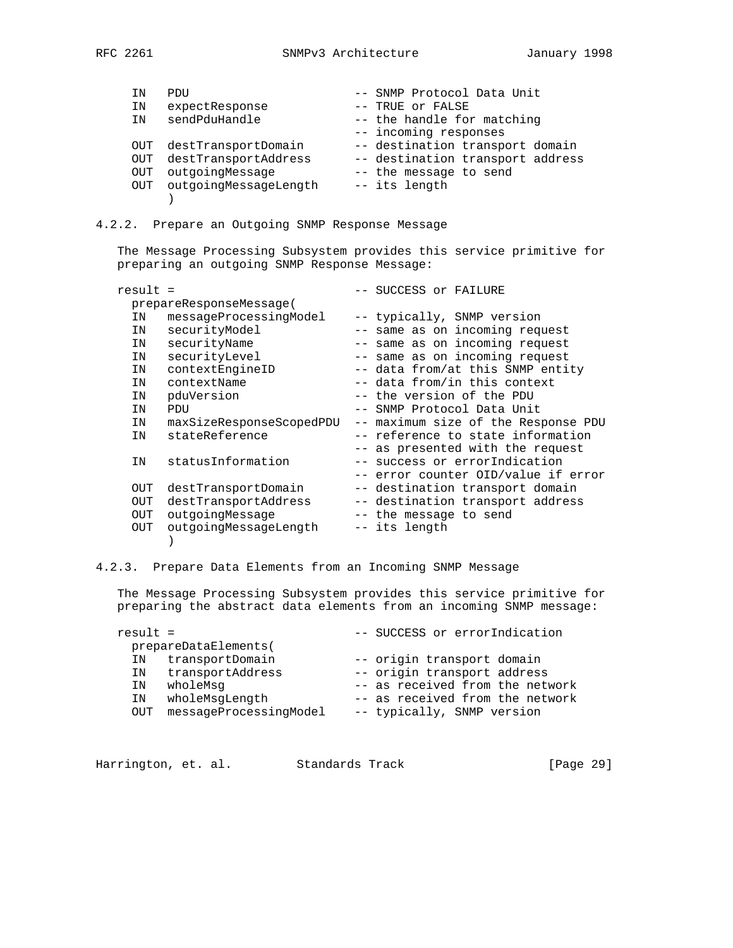| ΙN  | PDU                   | -- SNMP Protocol Data Unit       |
|-----|-----------------------|----------------------------------|
| ΙN  | expectResponse        | -- TRUE or FALSE                 |
| ΙN  | sendPduHandle         | -- the handle for matching       |
|     |                       | -- incoming responses            |
| OUT | destTransportDomain   | -- destination transport domain  |
| OUT | destTransportAddress  | -- destination transport address |
| OUT | outgoingMessage       | -- the message to send           |
| OUT | outgoingMessageLength | -- its length                    |
|     |                       |                                  |

4.2.2. Prepare an Outgoing SNMP Response Message

 The Message Processing Subsystem provides this service primitive for preparing an outgoing SNMP Response Message:

| result = |                          | -- SUCCESS or FAILURE               |
|----------|--------------------------|-------------------------------------|
|          | prepareResponseMessage(  |                                     |
| IN       | messageProcessingModel   | -- typically, SNMP version          |
| IN       | securityModel            | -- same as on incoming request      |
| IN       | securityName             | -- same as on incoming request      |
| IN       | securityLevel            | -- same as on incoming request      |
| IN       | contextEngineID          | -- data from/at this SNMP entity    |
| IN       | contextName              | -- data from/in this context        |
| ΙN       | pduVersion               | -- the version of the PDU           |
| IN       | <b>PDU</b>               | -- SNMP Protocol Data Unit          |
| IN       | maxSizeResponseScopedPDU | -- maximum size of the Response PDU |
| ΙN       | stateReference           | -- reference to state information   |
|          |                          | -- as presented with the request    |
| IN       | statusInformation        | -- success or errorIndication       |
|          |                          | -- error counter OID/value if error |
| OUT      | destTransportDomain      | -- destination transport domain     |
| OUT      | destTransportAddress     | -- destination transport address    |
| OUT      | outgoingMessage          | -- the message to send              |
| OUT      | outgoingMessageLength    | -- its length                       |
|          |                          |                                     |
|          |                          |                                     |

4.2.3. Prepare Data Elements from an Incoming SNMP Message

 The Message Processing Subsystem provides this service primitive for preparing the abstract data elements from an incoming SNMP message:

| result = |                        | -- SUCCESS or errorIndication   |
|----------|------------------------|---------------------------------|
|          | prepareDataElements(   |                                 |
| ΙN       | transportDomain        | -- origin transport domain      |
| ΙN       | transportAddress       | -- origin transport address     |
| ΙN       | wholeMsq               | -- as received from the network |
| ΙN       | wholeMsqLength         | -- as received from the network |
| OUT      | messageProcessingModel | -- typically, SNMP version      |
|          |                        |                                 |

| Harrington, et. al. |  |  | Standards Track | [Page 29] |  |
|---------------------|--|--|-----------------|-----------|--|
|---------------------|--|--|-----------------|-----------|--|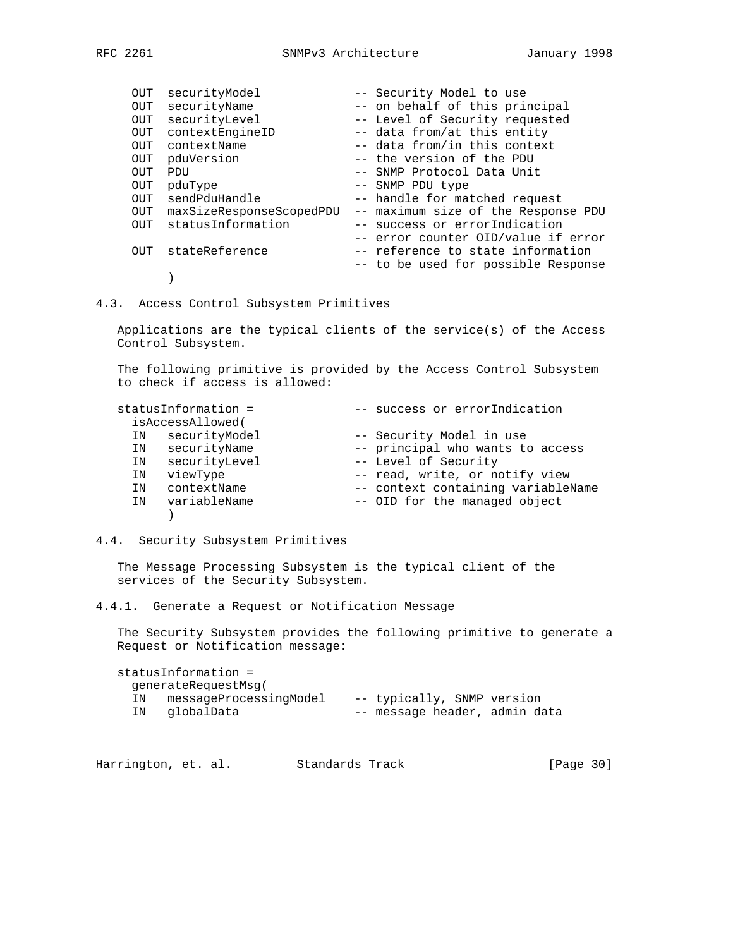| OUT        | securityModel            | -- Security Model to use            |
|------------|--------------------------|-------------------------------------|
| OUT        | securityName             | -- on behalf of this principal      |
| OUT        | securityLevel            | -- Level of Security requested      |
| OUT        | contextEngineID          | -- data from/at this entity         |
| OUT.       | contextName              | -- data from/in this context        |
| OUT        | pduVersion               | -- the version of the PDU           |
| <b>OUT</b> | PDU                      | -- SNMP Protocol Data Unit          |
| OUT        | pduType                  | -- SNMP PDU type                    |
| <b>OUT</b> | sendPduHandle            | -- handle for matched request       |
| OUT        | maxSizeResponseScopedPDU | -- maximum size of the Response PDU |
| OUT        | statusInformation        | -- success or errorIndication       |
|            |                          | -- error counter OID/value if error |
| OUT        | stateReference           | -- reference to state information   |
|            |                          | -- to be used for possible Response |
|            |                          |                                     |

4.3. Access Control Subsystem Primitives

 Applications are the typical clients of the service(s) of the Access Control Subsystem.

 The following primitive is provided by the Access Control Subsystem to check if access is allowed:

| statusInformation = |    |                  | -- success or errorIndication      |
|---------------------|----|------------------|------------------------------------|
|                     |    | isAccessAllowed( |                                    |
|                     | ΙN | securityModel    | -- Security Model in use           |
|                     | ΙN | securityName     | -- principal who wants to access   |
|                     | ΙN | securityLevel    | -- Level of Security               |
|                     | ΙN | viewType         | -- read, write, or notify view     |
|                     | ΙN | contextName      | -- context containing variableName |
|                     | ΙN | variableName     | -- OID for the managed object      |
|                     |    |                  |                                    |

## 4.4. Security Subsystem Primitives

 The Message Processing Subsystem is the typical client of the services of the Security Subsystem.

4.4.1. Generate a Request or Notification Message

 The Security Subsystem provides the following primitive to generate a Request or Notification message:

|    | statusInformation =    |                               |  |  |
|----|------------------------|-------------------------------|--|--|
|    | generateRequestMsq(    |                               |  |  |
| IN | messageProcessingModel | -- typically, SNMP version    |  |  |
| ΙN | qlobalData             | -- message header, admin data |  |  |

Harrington, et. al. Standards Track [Page 30]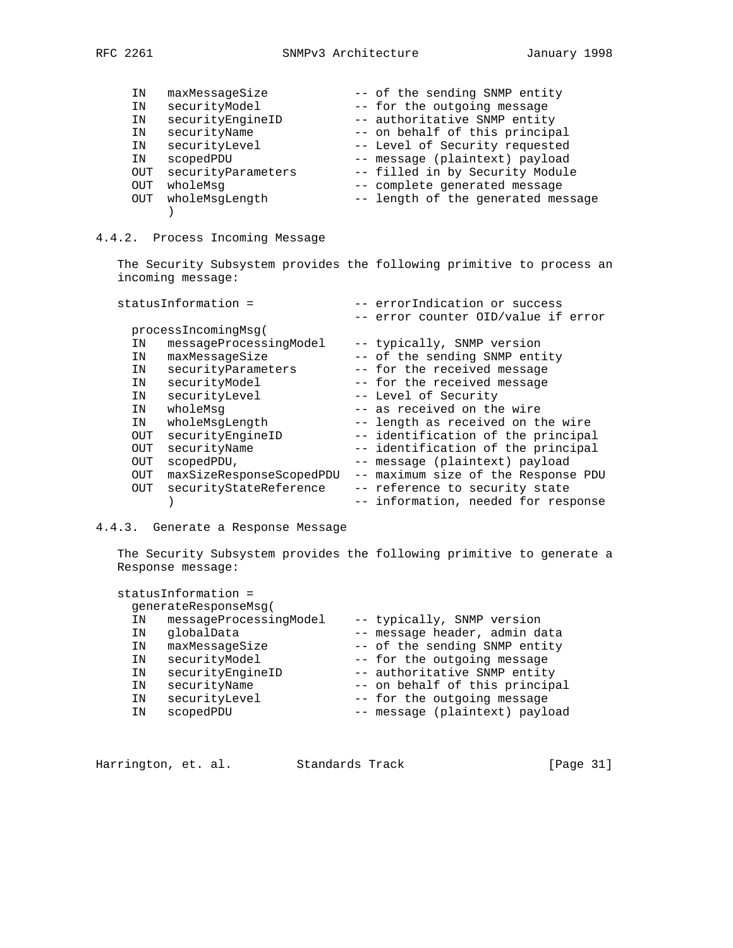| ΙN         | maxMessageSize     | -- of the sending SNMP entity      |
|------------|--------------------|------------------------------------|
| IN         | securityModel      | -- for the outgoing message        |
| ΙN         | securityEngineID   | -- authoritative SNMP entity       |
| ΙN         | securityName       | -- on behalf of this principal     |
| ΙN         | securityLevel      | -- Level of Security requested     |
| ΙN         | scopedPDU          | -- message (plaintext) payload     |
| <b>OUT</b> | securityParameters | -- filled in by Security Module    |
| OUT        | wholeMsq           | -- complete generated message      |
| OUT        | wholeMsgLength     | -- length of the generated message |
|            |                    |                                    |

# 4.4.2. Process Incoming Message

 The Security Subsystem provides the following primitive to process an incoming message:

| statusInformation = |     |                          |      | -- errorIndication or success       |
|---------------------|-----|--------------------------|------|-------------------------------------|
|                     |     |                          |      | -- error counter OID/value if error |
|                     |     | processIncomingMsq(      |      |                                     |
|                     | ΙN  | messageProcessingModel   |      | -- typically, SNMP version          |
|                     | IN  | maxMessageSize           |      | -- of the sending SNMP entity       |
|                     | IN  | securityParameters       |      | -- for the received message         |
|                     | IN  | securityModel            |      | -- for the received message         |
|                     | IN  | securityLevel            |      | -- Level of Security                |
|                     | IN  | wholeMsq                 |      | -- as received on the wire          |
|                     | IN  | wholeMsqLength           |      | -- length as received on the wire   |
|                     | OUT | securityEngineID         |      | -- identification of the principal  |
|                     | OUT | securityName             |      | -- identification of the principal  |
|                     | OUT | scopedPDU,               |      | -- message (plaintext) payload      |
|                     | OUT | maxSizeResponseScopedPDU | $--$ | maximum size of the Response PDU    |
|                     | OUT | securityStateReference   |      | -- reference to security state      |
|                     |     |                          |      | -- information, needed for response |
|                     |     |                          |      |                                     |

# 4.4.3. Generate a Response Message

 The Security Subsystem provides the following primitive to generate a Response message:

|    | statusInformation =    |                                |
|----|------------------------|--------------------------------|
|    | qenerateResponseMsq(   |                                |
| ΙN | messageProcessingModel | -- typically, SNMP version     |
| ΙN | qlobalData             | -- message header, admin data  |
| ΙN | maxMessageSize         | -- of the sending SNMP entity  |
| ΙN | securityModel          | -- for the outgoing message    |
| ΙN | securityEngineID       | -- authoritative SNMP entity   |
| ΙN | securityName           | -- on behalf of this principal |
| ΙN | securityLevel          | -- for the outgoing message    |
| ΙN | scopedPDU              | -- message (plaintext) payload |
|    |                        |                                |

| Harrington, et. al.<br>Standards Track | [Page 31] |  |  |  |
|----------------------------------------|-----------|--|--|--|
|----------------------------------------|-----------|--|--|--|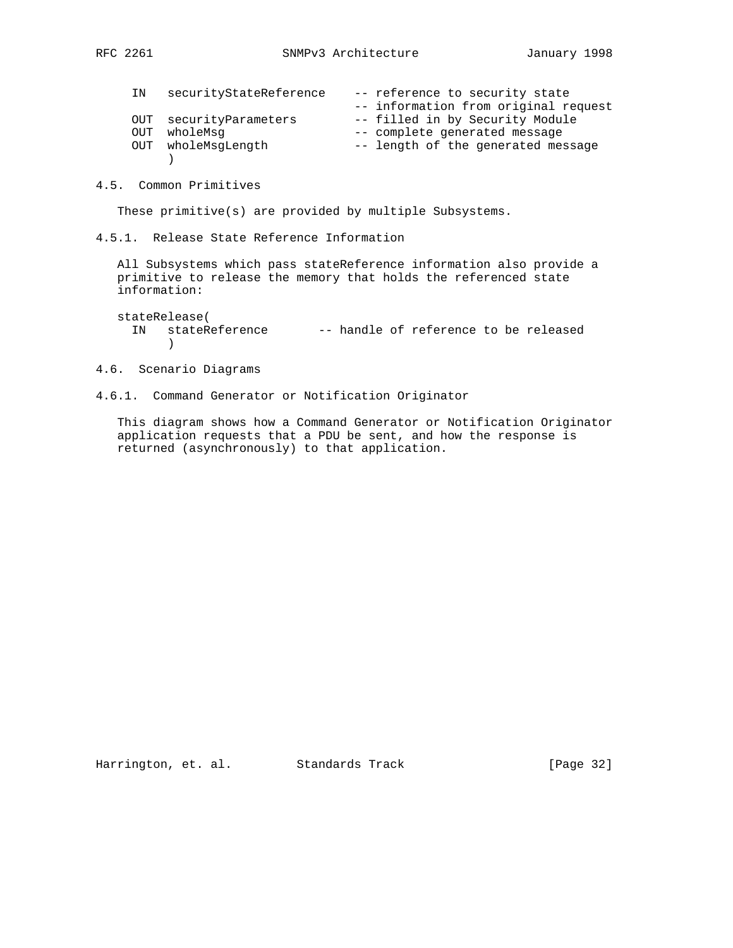| IN | securityStateReference | -- reference to security state       |
|----|------------------------|--------------------------------------|
|    |                        | -- information from original request |
|    | OUT securityParameters | -- filled in by Security Module      |
|    | OUT wholeMsg           | -- complete generated message        |
|    | OUT wholeMsqLength     | -- length of the generated message   |
|    |                        |                                      |

4.5. Common Primitives

These primitive(s) are provided by multiple Subsystems.

4.5.1. Release State Reference Information

 All Subsystems which pass stateReference information also provide a primitive to release the memory that holds the referenced state information:

 stateRelease( IN stateReference -- handle of reference to be released )

4.6. Scenario Diagrams

4.6.1. Command Generator or Notification Originator

 This diagram shows how a Command Generator or Notification Originator application requests that a PDU be sent, and how the response is returned (asynchronously) to that application.

Harrington, et. al. Standards Track [Page 32]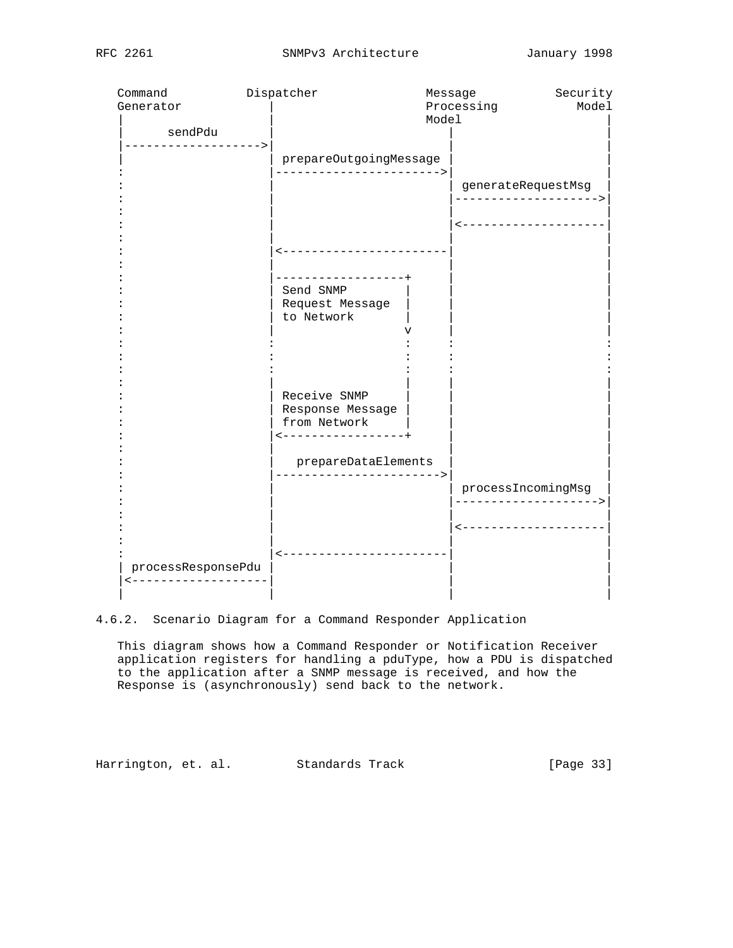| Command            | Dispatcher                            |       | Message              | Security              |
|--------------------|---------------------------------------|-------|----------------------|-----------------------|
| Generator          |                                       |       | Processing           | Model                 |
|                    |                                       | Model |                      |                       |
| sendPdu            |                                       |       |                      |                       |
| -----------------> |                                       |       |                      |                       |
|                    | prepareOutgoingMessage                |       |                      |                       |
|                    | ----------------------->              |       |                      |                       |
|                    |                                       |       | generateRequestMsg   |                       |
|                    |                                       |       | -------------------  |                       |
|                    |                                       |       |                      |                       |
|                    |                                       |       | <------------------- |                       |
|                    | <-----------------------              |       |                      |                       |
|                    |                                       |       |                      |                       |
|                    | . _ _ _ _ _ _ _ _ _ _ _ _ _ _ _ _ _ _ |       |                      |                       |
|                    | Send SNMP                             |       |                      |                       |
|                    | Request Message                       |       |                      |                       |
|                    | to Network                            |       |                      |                       |
|                    |                                       |       |                      |                       |
|                    |                                       |       |                      |                       |
|                    |                                       |       |                      |                       |
|                    |                                       |       |                      |                       |
|                    |                                       |       |                      |                       |
|                    | Receive SNMP                          |       |                      |                       |
|                    | Response Message                      |       |                      |                       |
|                    | from Network                          |       |                      |                       |
|                    | -----------------+                    |       |                      |                       |
|                    |                                       |       |                      |                       |
|                    | prepareDataElements                   |       |                      |                       |
|                    | ------------------->                  |       |                      |                       |
|                    |                                       |       | processIncomingMsg   |                       |
|                    |                                       |       |                      |                       |
|                    |                                       |       |                      | <-------------------- |
|                    |                                       |       |                      |                       |
|                    | <-----------------------              |       |                      |                       |
| processResponsePdu |                                       |       |                      |                       |
| ----------------   |                                       |       |                      |                       |
|                    |                                       |       |                      |                       |
|                    |                                       |       |                      |                       |

4.6.2. Scenario Diagram for a Command Responder Application

 This diagram shows how a Command Responder or Notification Receiver application registers for handling a pduType, how a PDU is dispatched to the application after a SNMP message is received, and how the Response is (asynchronously) send back to the network.

Harrington, et. al. Standards Track [Page 33]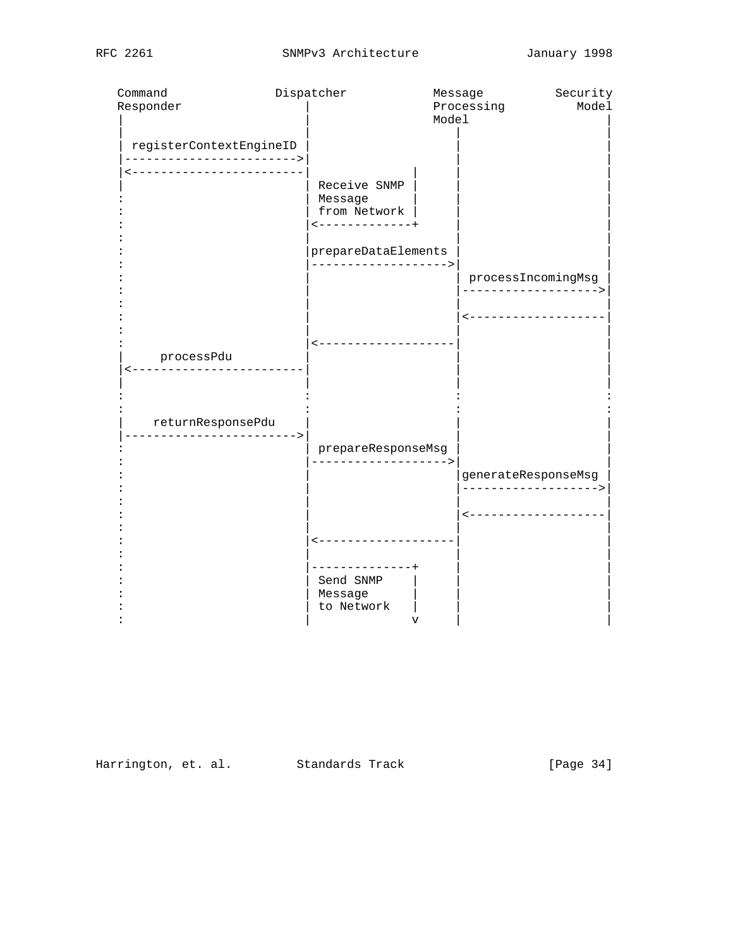| Command                                             | Dispatcher                     | Message        | Security             |
|-----------------------------------------------------|--------------------------------|----------------|----------------------|
| Responder                                           |                                | Processing     | Model                |
|                                                     |                                | Model          |                      |
| registerContextEngineID<br>-----------------------> |                                |                |                      |
| ---------------------                               |                                |                |                      |
|                                                     | Receive SNMP                   |                |                      |
|                                                     | Message                        |                |                      |
|                                                     | from Network<br>-------------+ |                |                      |
|                                                     |                                |                |                      |
|                                                     | prepareDataElements            |                |                      |
|                                                     | ------------------->           |                | processIncomingMsg   |
|                                                     |                                |                | -------------------> |
|                                                     |                                |                |                      |
|                                                     |                                |                | -------------------  |
|                                                     | -------------------            |                |                      |
| processPdu                                          |                                |                |                      |
| ---------                                           |                                |                |                      |
|                                                     |                                |                |                      |
|                                                     |                                |                |                      |
| returnResponsePdu<br>---------------------->        |                                |                |                      |
|                                                     | prepareResponseMsg             |                |                      |
|                                                     | ------------------>            |                |                      |
|                                                     |                                |                | generateResponseMsg  |
|                                                     |                                |                | -------------------> |
|                                                     |                                |                | -----------------    |
|                                                     |                                |                |                      |
|                                                     | -------------------            |                |                      |
|                                                     | -------------+                 |                |                      |
|                                                     | Send SNMP                      |                |                      |
|                                                     | Message                        |                |                      |
|                                                     | to Network                     |                |                      |
|                                                     |                                | $\overline{V}$ |                      |

Harrington, et. al. Standards Track [Page 34]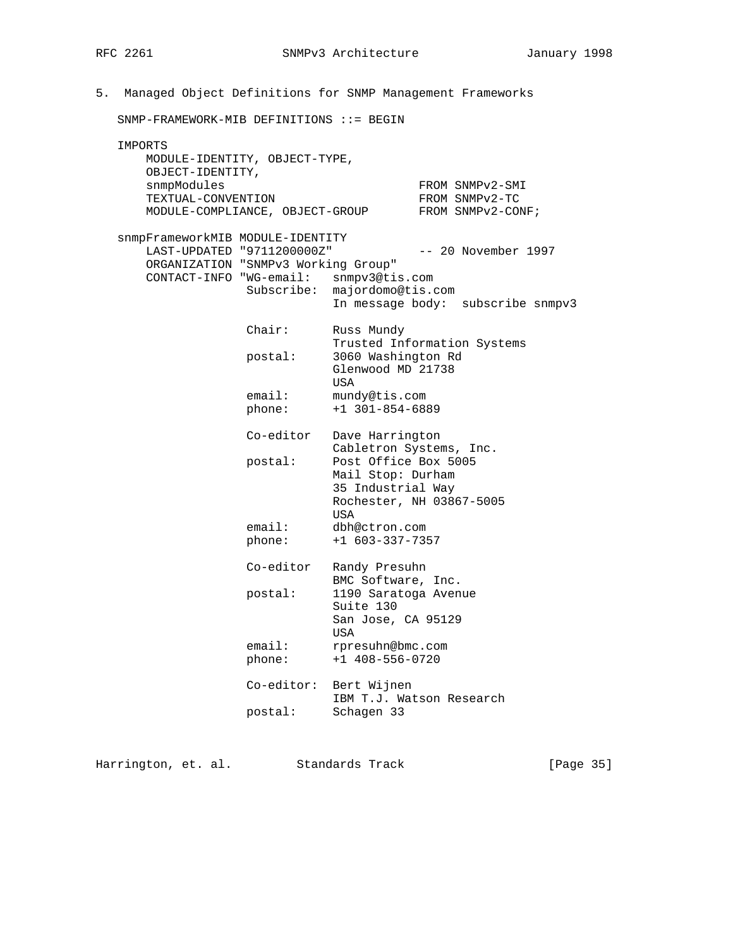5. Managed Object Definitions for SNMP Management Frameworks SNMP-FRAMEWORK-MIB DEFINITIONS ::= BEGIN IMPORTS MODULE-IDENTITY, OBJECT-TYPE, OBJECT-IDENTITY, snmpModules FROM SNMPv2-SMI TEXTUAL-CONVENTION FROM SNMPv2-TC MODULE-COMPLIANCE, OBJECT-GROUP FROM SNMPv2-CONF; snmpFrameworkMIB MODULE-IDENTITY LAST-UPDATED "9711200000Z" -- 20 November 1997 ORGANIZATION "SNMPv3 Working Group" CONTACT-INFO "WG-email: snmpv3@tis.com Subscribe: majordomo@tis.com In message body: subscribe snmpv3 Chair: Russ Mundy Trusted Information Systems postal: 3060 Washington Rd Glenwood MD 21738 USA email: mundy@tis.com phone: +1 301-854-6889 Co-editor Dave Harrington Cabletron Systems, Inc.<br>postal: Post Office Box 5005 Post Office Box 5005 Mail Stop: Durham 35 Industrial Way Rochester, NH 03867-5005 usa di kacamatan ing Kabupatèn Kabupatèn Kabupatèn Kabupatèn Kabupatèn Kabupatèn Kabupatèn Kabupatèn Kabupatèn email: dbh@ctron.com phone: +1 603-337-7357 Co-editor Randy Presuhn BMC Software, Inc. postal: 1190 Saratoga Avenue Suite 130 San Jose, CA 95129 usa di kacamatan ing Kabupatèn Kabupatèn Kabupatèn Kabupatèn Kabupatèn Kabupatèn Kabupatèn Kabupatèn Kabupatèn email: rpresuhn@bmc.com phone: +1 408-556-0720 Co-editor: Bert Wijnen IBM T.J. Watson Research postal: Schagen 33

Harrington, et. al. Standards Track [Page 35]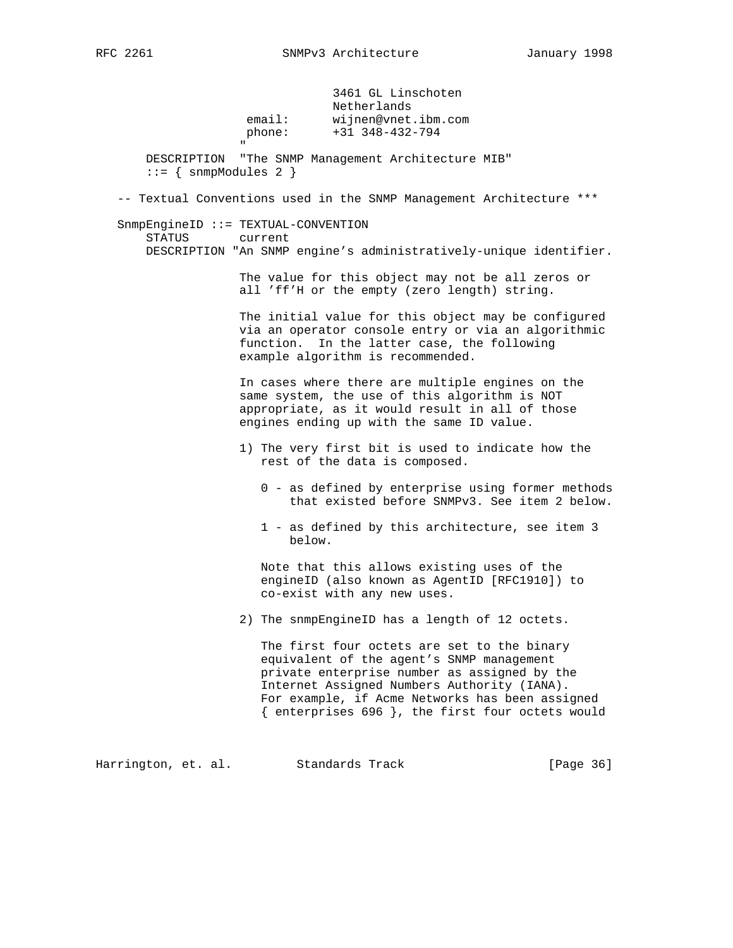3461 GL Linschoten Netherlands email: wijnen@vnet.ibm.com phone: +31 348-432-794 " DESCRIPTION "The SNMP Management Architecture MIB"  $::=$  { snmpModules 2 } -- Textual Conventions used in the SNMP Management Architecture \*\*\* SnmpEngineID ::= TEXTUAL-CONVENTION STATUS current DESCRIPTION "An SNMP engine's administratively-unique identifier. The value for this object may not be all zeros or all 'ff'H or the empty (zero length) string. The initial value for this object may be configured via an operator console entry or via an algorithmic function. In the latter case, the following example algorithm is recommended. In cases where there are multiple engines on the same system, the use of this algorithm is NOT appropriate, as it would result in all of those engines ending up with the same ID value. 1) The very first bit is used to indicate how the rest of the data is composed. 0 - as defined by enterprise using former methods that existed before SNMPv3. See item 2 below. 1 - as defined by this architecture, see item 3 below. Note that this allows existing uses of the engineID (also known as AgentID [RFC1910]) to co-exist with any new uses. 2) The snmpEngineID has a length of 12 octets. The first four octets are set to the binary equivalent of the agent's SNMP management private enterprise number as assigned by the Internet Assigned Numbers Authority (IANA). For example, if Acme Networks has been assigned

Harrington, et. al. Standards Track [Page 36]

{ enterprises 696 }, the first four octets would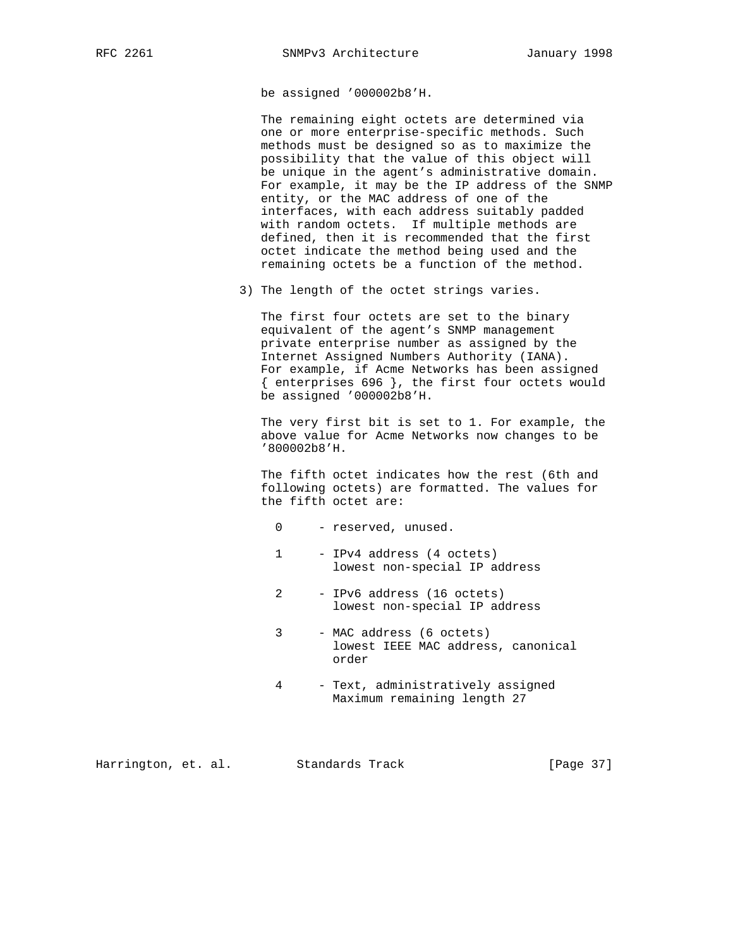be assigned '000002b8'H.

 The remaining eight octets are determined via one or more enterprise-specific methods. Such methods must be designed so as to maximize the possibility that the value of this object will be unique in the agent's administrative domain. For example, it may be the IP address of the SNMP entity, or the MAC address of one of the interfaces, with each address suitably padded with random octets. If multiple methods are defined, then it is recommended that the first octet indicate the method being used and the remaining octets be a function of the method.

3) The length of the octet strings varies.

 The first four octets are set to the binary equivalent of the agent's SNMP management private enterprise number as assigned by the Internet Assigned Numbers Authority (IANA). For example, if Acme Networks has been assigned { enterprises 696 }, the first four octets would be assigned '000002b8'H.

 The very first bit is set to 1. For example, the above value for Acme Networks now changes to be '800002b8'H.

 The fifth octet indicates how the rest (6th and following octets) are formatted. The values for the fifth octet are:

- 0 reserved, unused.
- 1 IPv4 address (4 octets) lowest non-special IP address
- 2 IPv6 address (16 octets) lowest non-special IP address
- 3 MAC address (6 octets) lowest IEEE MAC address, canonical order
- 4 Text, administratively assigned Maximum remaining length 27

Harrington, et. al. Standards Track [Page 37]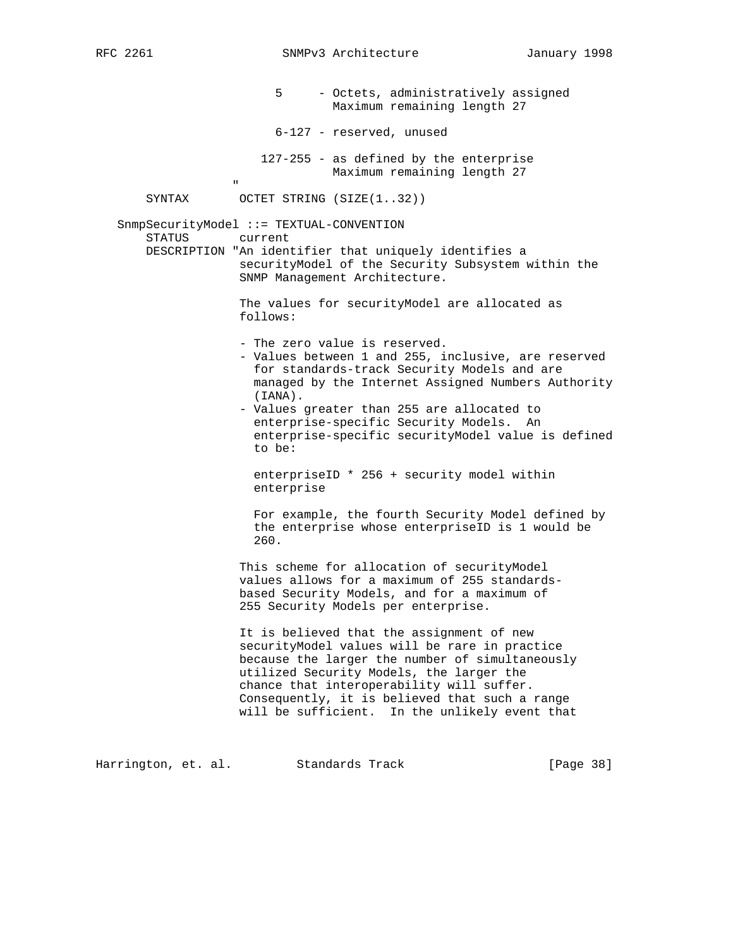5 - Octets, administratively assigned Maximum remaining length 27 6-127 - reserved, unused 127-255 - as defined by the enterprise Maximum remaining length 27 " "The contract of the contract of the contract of the contract of the contract of the contract of the contract of the contract of the contract of the contract of the contract of the contract of the contract of the contrac SYNTAX OCTET STRING (SIZE(1..32)) SnmpSecurityModel ::= TEXTUAL-CONVENTION STATUS current DESCRIPTION "An identifier that uniquely identifies a securityModel of the Security Subsystem within the SNMP Management Architecture. The values for securityModel are allocated as follows: - The zero value is reserved. - Values between 1 and 255, inclusive, are reserved for standards-track Security Models and are managed by the Internet Assigned Numbers Authority (IANA). - Values greater than 255 are allocated to enterprise-specific Security Models. An enterprise-specific securityModel value is defined to be: enterpriseID \* 256 + security model within enterprise For example, the fourth Security Model defined by the enterprise whose enterpriseID is 1 would be 260. This scheme for allocation of securityModel values allows for a maximum of 255 standards based Security Models, and for a maximum of 255 Security Models per enterprise. It is believed that the assignment of new securityModel values will be rare in practice because the larger the number of simultaneously utilized Security Models, the larger the chance that interoperability will suffer. Consequently, it is believed that such a range will be sufficient. In the unlikely event that

Harrington, et. al. Standards Track [Page 38]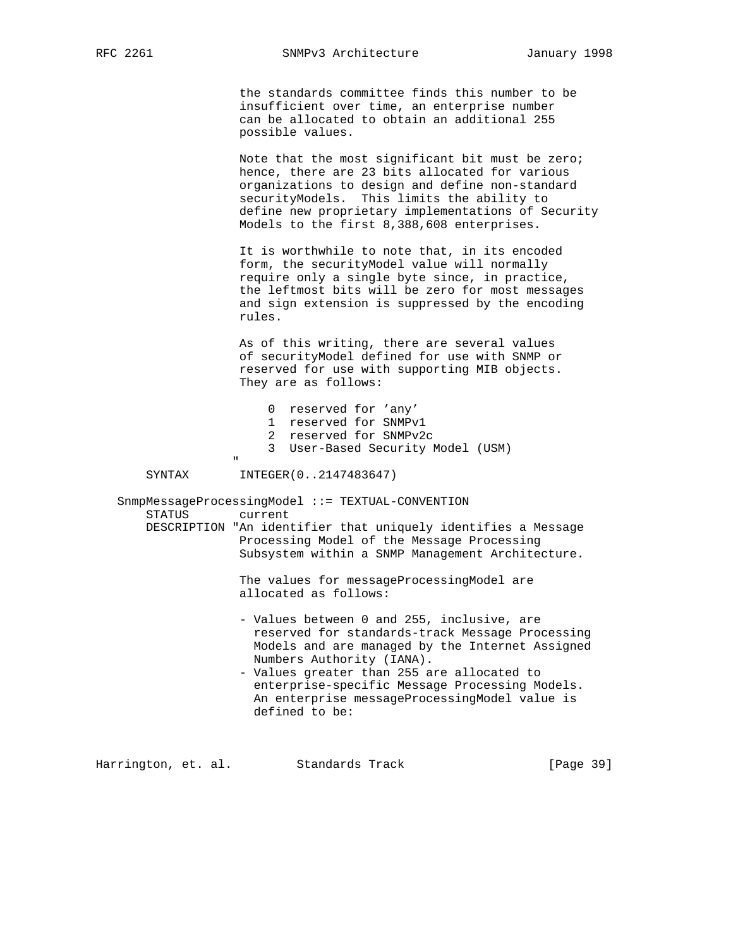RFC 2261 SNMPv3 Architecture January 1998

 the standards committee finds this number to be insufficient over time, an enterprise number can be allocated to obtain an additional 255 possible values.

 Note that the most significant bit must be zero; hence, there are 23 bits allocated for various organizations to design and define non-standard securityModels. This limits the ability to define new proprietary implementations of Security Models to the first 8,388,608 enterprises.

 It is worthwhile to note that, in its encoded form, the securityModel value will normally require only a single byte since, in practice, the leftmost bits will be zero for most messages and sign extension is suppressed by the encoding rules.

 As of this writing, there are several values of securityModel defined for use with SNMP or reserved for use with supporting MIB objects. They are as follows:

| 0 reserved for 'any'              |
|-----------------------------------|
| 1 reserved for SNMPv1             |
| 2 reserved for SNMPv2c            |
| 3 User-Based Security Model (USM) |

" "The contract of the contract of the contract of the contract of the contract of the contract of the contract of the contract of the contract of the contract of the contract of the contract of the contract of the contrac

SYNTAX INTEGER(0..2147483647)

 SnmpMessageProcessingModel ::= TEXTUAL-CONVENTION STATUS current DESCRIPTION "An identifier that uniquely identifies a Message Processing Model of the Message Processing Subsystem within a SNMP Management Architecture.

> The values for messageProcessingModel are allocated as follows:

- Values between 0 and 255, inclusive, are reserved for standards-track Message Processing Models and are managed by the Internet Assigned Numbers Authority (IANA).
- Values greater than 255 are allocated to enterprise-specific Message Processing Models. An enterprise messageProcessingModel value is defined to be:

Harrington, et. al. Standards Track [Page 39]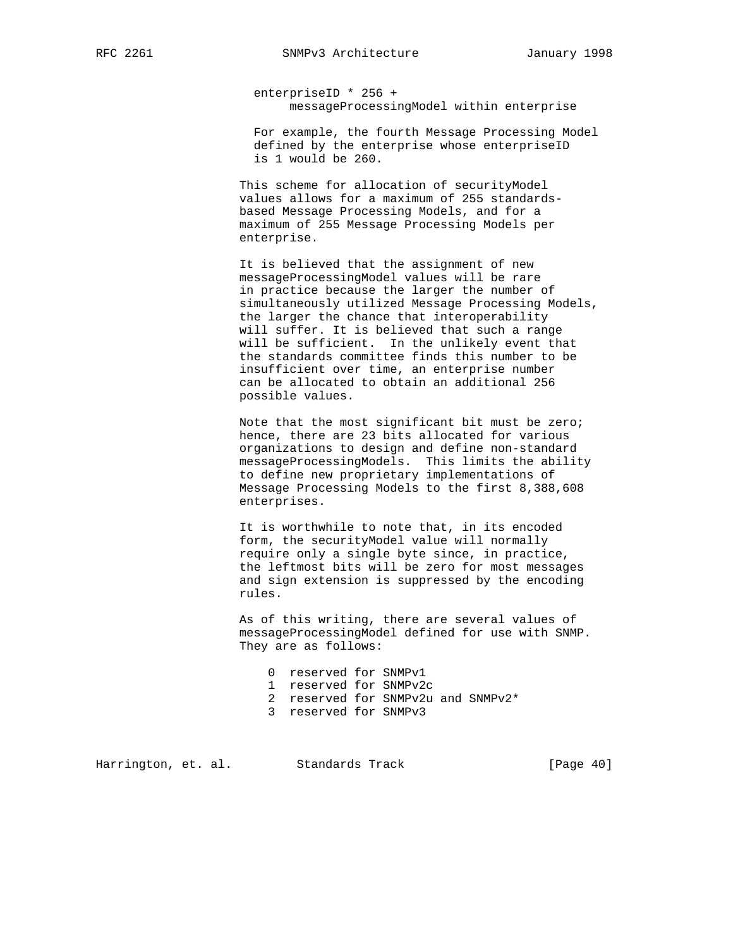enterpriseID \* 256 + messageProcessingModel within enterprise

 For example, the fourth Message Processing Model defined by the enterprise whose enterpriseID is 1 would be 260.

 This scheme for allocation of securityModel values allows for a maximum of 255 standards based Message Processing Models, and for a maximum of 255 Message Processing Models per enterprise.

 It is believed that the assignment of new messageProcessingModel values will be rare in practice because the larger the number of simultaneously utilized Message Processing Models, the larger the chance that interoperability will suffer. It is believed that such a range will be sufficient. In the unlikely event that the standards committee finds this number to be insufficient over time, an enterprise number can be allocated to obtain an additional 256 possible values.

 Note that the most significant bit must be zero; hence, there are 23 bits allocated for various organizations to design and define non-standard messageProcessingModels. This limits the ability to define new proprietary implementations of Message Processing Models to the first 8,388,608 enterprises.

 It is worthwhile to note that, in its encoded form, the securityModel value will normally require only a single byte since, in practice, the leftmost bits will be zero for most messages and sign extension is suppressed by the encoding rules.

 As of this writing, there are several values of messageProcessingModel defined for use with SNMP. They are as follows:

- 0 reserved for SNMPv1
- 1 reserved for SNMPv2c
- 2 reserved for SNMPv2u and SNMPv2\*
- 3 reserved for SNMPv3

Harrington, et. al. Standards Track [Page 40]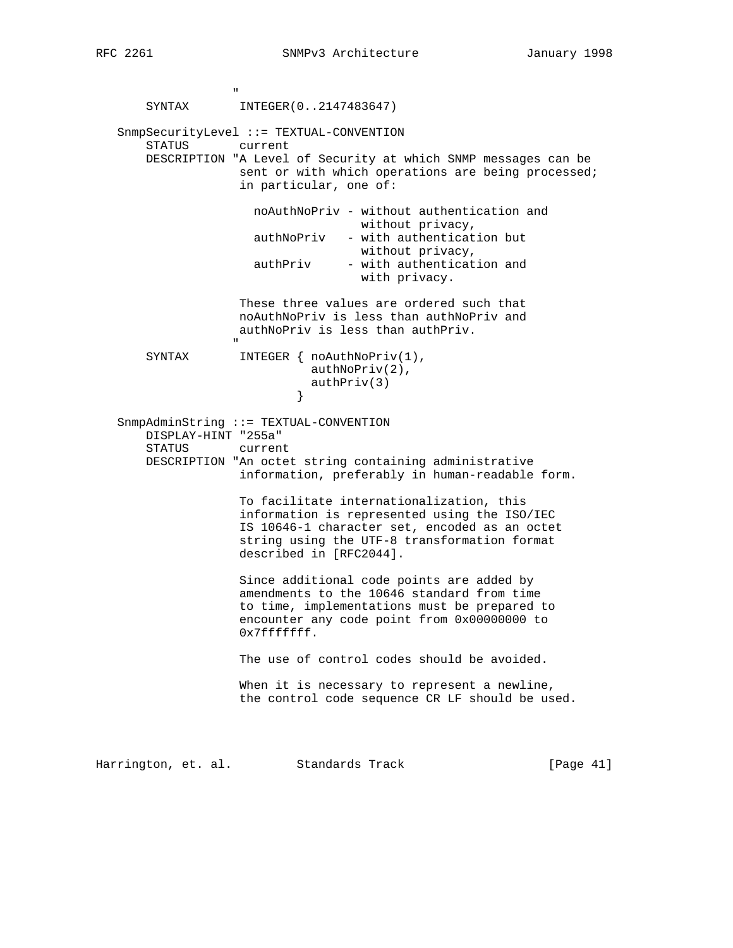" "The contract of the contract of the contract of the contract of the contract of the contract of the contract of the contract of the contract of the contract of the contract of the contract of the contract of the contrac SYNTAX INTEGER(0..2147483647) SnmpSecurityLevel ::= TEXTUAL-CONVENTION STATUS current DESCRIPTION "A Level of Security at which SNMP messages can be sent or with which operations are being processed; in particular, one of: noAuthNoPriv - without authentication and without privacy, authNoPriv - with authentication but without privacy, authPriv - with authentication and with privacy. These three values are ordered such that noAuthNoPriv is less than authNoPriv and authNoPriv is less than authPriv. " "The contract of the contract of the contract of the contract of the contract of the contract of the contract of the contract of the contract of the contract of the contract of the contract of the contract of the contrac SYNTAX INTEGER { noAuthNoPriv(1), authNoPriv(2), authPriv(3)<br>} } SnmpAdminString ::= TEXTUAL-CONVENTION DISPLAY-HINT "255a" STATUS current DESCRIPTION "An octet string containing administrative information, preferably in human-readable form. To facilitate internationalization, this information is represented using the ISO/IEC IS 10646-1 character set, encoded as an octet string using the UTF-8 transformation format described in [RFC2044]. Since additional code points are added by amendments to the 10646 standard from time to time, implementations must be prepared to encounter any code point from 0x00000000 to 0x7fffffff. The use of control codes should be avoided. When it is necessary to represent a newline, the control code sequence CR LF should be used. Harrington, et. al. Standards Track [Page 41]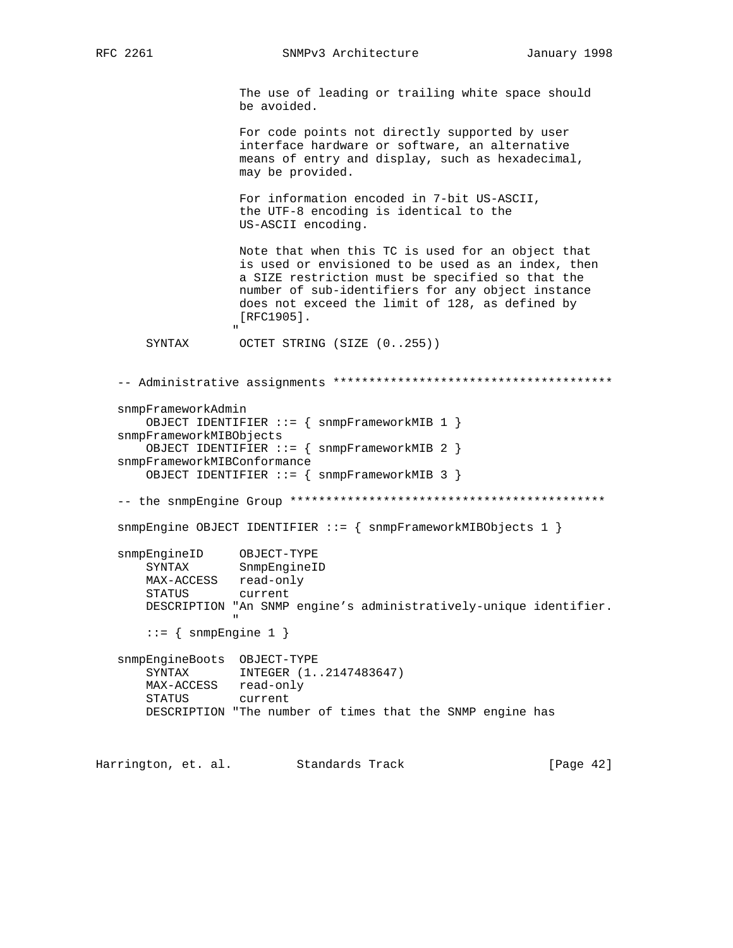" "The contract of the contract of the contract of the contract of the contract of the contract of the contract of the contract of the contract of the contract of the contract of the contract of the contract of the contrac

RFC 2261 SNMPv3 Architecture January 1998

 The use of leading or trailing white space should be avoided.

 For code points not directly supported by user interface hardware or software, an alternative means of entry and display, such as hexadecimal, may be provided.

 For information encoded in 7-bit US-ASCII, the UTF-8 encoding is identical to the US-ASCII encoding.

 Note that when this TC is used for an object that is used or envisioned to be used as an index, then a SIZE restriction must be specified so that the number of sub-identifiers for any object instance does not exceed the limit of 128, as defined by [RFC1905].

SYNTAX OCTET STRING (SIZE  $(0..255)$ )

```
 -- Administrative assignments ***************************************
    snmpFrameworkAdmin
         OBJECT IDENTIFIER ::= { snmpFrameworkMIB 1 }
    snmpFrameworkMIBObjects
         OBJECT IDENTIFIER ::= { snmpFrameworkMIB 2 }
    snmpFrameworkMIBConformance
         OBJECT IDENTIFIER ::= { snmpFrameworkMIB 3 }
    -- the snmpEngine Group ********************************************
    snmpEngine OBJECT IDENTIFIER ::= { snmpFrameworkMIBObjects 1 }
    snmpEngineID OBJECT-TYPE
         SYNTAX SnmpEngineID
         MAX-ACCESS read-only
         STATUS current
         DESCRIPTION "An SNMP engine's administratively-unique identifier.
" "The contract of the contract of the contract of the contract of the contract of the contract of the contract of the contract of the contract of the contract of the contract of the contract of the contract of the contrac
        ::= { snmpEngine 1 }
    snmpEngineBoots OBJECT-TYPE
         SYNTAX INTEGER (1..2147483647)
         MAX-ACCESS read-only
         STATUS current
         DESCRIPTION "The number of times that the SNMP engine has
Harrington, et. al. Standards Track [Page 42]
```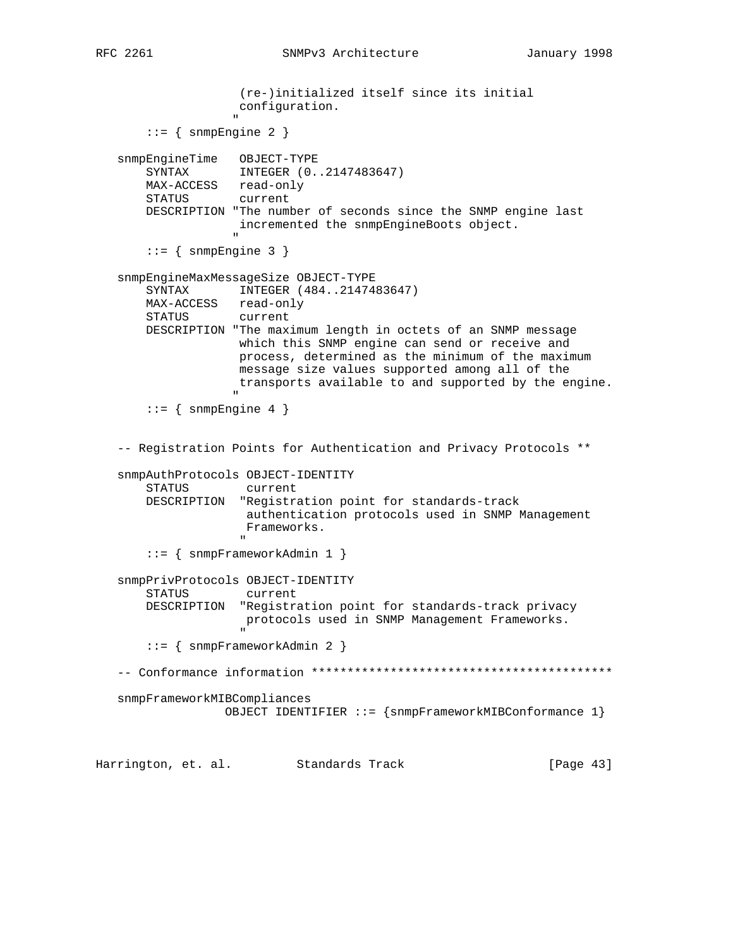RFC 2261 SNMPv3 Architecture January 1998

```
 (re-)initialized itself since its initial
                   configuration.
 "
      ::= { snmpEngine 2 }
   snmpEngineTime OBJECT-TYPE
       SYNTAX INTEGER (0..2147483647)
       MAX-ACCESS read-only
       STATUS current
       DESCRIPTION "The number of seconds since the SNMP engine last
                  incremented the snmpEngineBoots object.
 "
      ::= { snmpEngine 3 }
   snmpEngineMaxMessageSize OBJECT-TYPE
       SYNTAX INTEGER (484..2147483647)
       MAX-ACCESS read-only
       STATUS current
       DESCRIPTION "The maximum length in octets of an SNMP message
                   which this SNMP engine can send or receive and
                   process, determined as the minimum of the maximum
                   message size values supported among all of the
                   transports available to and supported by the engine.
 "
      ::= { snmpEngine 4 }
   -- Registration Points for Authentication and Privacy Protocols **
   snmpAuthProtocols OBJECT-IDENTITY
       STATUS current
       DESCRIPTION "Registration point for standards-track
                   authentication protocols used in SNMP Management
                   Frameworks.
 "
       ::= { snmpFrameworkAdmin 1 }
   snmpPrivProtocols OBJECT-IDENTITY
       STATUS current
       DESCRIPTION "Registration point for standards-track privacy
                   protocols used in SNMP Management Frameworks.
 "
       ::= { snmpFrameworkAdmin 2 }
   -- Conformance information ******************************************
   snmpFrameworkMIBCompliances
                 OBJECT IDENTIFIER ::= {snmpFrameworkMIBConformance 1}
```
Harrington, et. al. Standards Track [Page 43]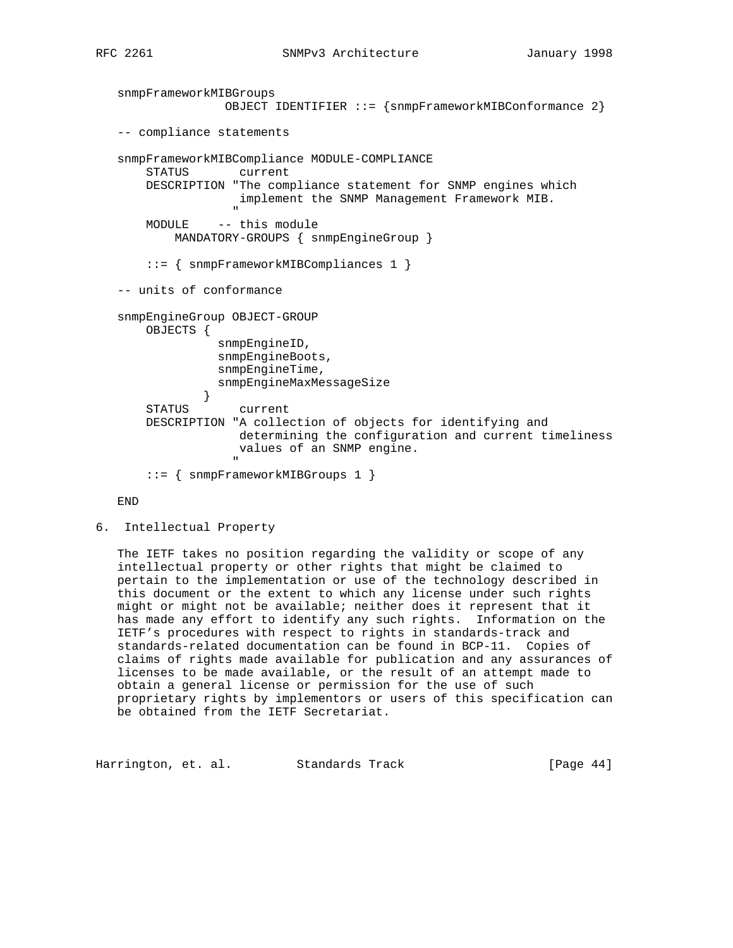```
 snmpFrameworkMIBGroups
                            OBJECT IDENTIFIER ::= {snmpFrameworkMIBConformance 2}
     -- compliance statements
     snmpFrameworkMIBCompliance MODULE-COMPLIANCE
           STATUS current
           DESCRIPTION "The compliance statement for SNMP engines which
                              implement the SNMP Management Framework MIB.
" "The contract of the contract of the contract of the contract of the contract of the contract of the contract of the contract of the contract of the contract of the contract of the contract of the contract of the contrac
           MODULE -- this module
                 MANDATORY-GROUPS { snmpEngineGroup }
           ::= { snmpFrameworkMIBCompliances 1 }
     -- units of conformance
     snmpEngineGroup OBJECT-GROUP
           OBJECTS {
                          snmpEngineID,
                          snmpEngineBoots,
                          snmpEngineTime,
                          snmpEngineMaxMessageSize
 }
           STATUS current
           DESCRIPTION "A collection of objects for identifying and
                               determining the configuration and current timeliness
                              values of an SNMP engine.
" "The contract of the contract of the contract of the contract of the contract of the contract of the contract of the contract of the contract of the contract of the contract of the contract of the contract of the contrac
           ::= { snmpFrameworkMIBGroups 1 }
```
END

6. Intellectual Property

 The IETF takes no position regarding the validity or scope of any intellectual property or other rights that might be claimed to pertain to the implementation or use of the technology described in this document or the extent to which any license under such rights might or might not be available; neither does it represent that it has made any effort to identify any such rights. Information on the IETF's procedures with respect to rights in standards-track and standards-related documentation can be found in BCP-11. Copies of claims of rights made available for publication and any assurances of licenses to be made available, or the result of an attempt made to obtain a general license or permission for the use of such proprietary rights by implementors or users of this specification can be obtained from the IETF Secretariat.

Harrington, et. al. Standards Track [Page 44]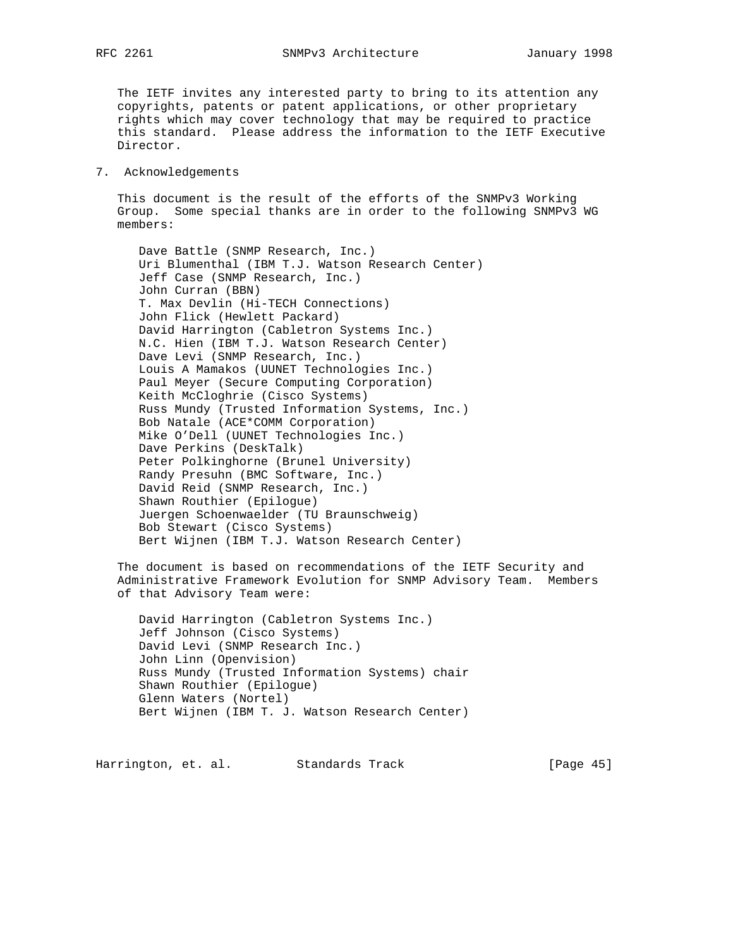The IETF invites any interested party to bring to its attention any copyrights, patents or patent applications, or other proprietary rights which may cover technology that may be required to practice this standard. Please address the information to the IETF Executive Director.

#### 7. Acknowledgements

 This document is the result of the efforts of the SNMPv3 Working Group. Some special thanks are in order to the following SNMPv3 WG members:

 Dave Battle (SNMP Research, Inc.) Uri Blumenthal (IBM T.J. Watson Research Center) Jeff Case (SNMP Research, Inc.) John Curran (BBN) T. Max Devlin (Hi-TECH Connections) John Flick (Hewlett Packard) David Harrington (Cabletron Systems Inc.) N.C. Hien (IBM T.J. Watson Research Center) Dave Levi (SNMP Research, Inc.) Louis A Mamakos (UUNET Technologies Inc.) Paul Meyer (Secure Computing Corporation) Keith McCloghrie (Cisco Systems) Russ Mundy (Trusted Information Systems, Inc.) Bob Natale (ACE\*COMM Corporation) Mike O'Dell (UUNET Technologies Inc.) Dave Perkins (DeskTalk) Peter Polkinghorne (Brunel University) Randy Presuhn (BMC Software, Inc.) David Reid (SNMP Research, Inc.) Shawn Routhier (Epilogue) Juergen Schoenwaelder (TU Braunschweig) Bob Stewart (Cisco Systems) Bert Wijnen (IBM T.J. Watson Research Center)

 The document is based on recommendations of the IETF Security and Administrative Framework Evolution for SNMP Advisory Team. Members of that Advisory Team were:

 David Harrington (Cabletron Systems Inc.) Jeff Johnson (Cisco Systems) David Levi (SNMP Research Inc.) John Linn (Openvision) Russ Mundy (Trusted Information Systems) chair Shawn Routhier (Epilogue) Glenn Waters (Nortel) Bert Wijnen (IBM T. J. Watson Research Center)

Harrington, et. al. Standards Track [Page 45]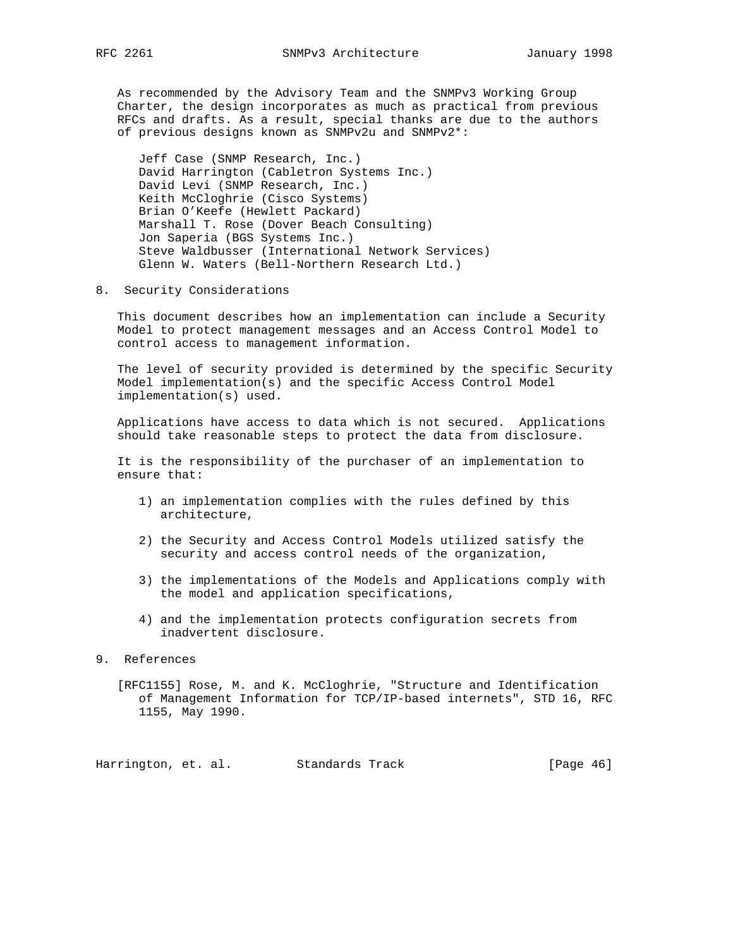As recommended by the Advisory Team and the SNMPv3 Working Group Charter, the design incorporates as much as practical from previous RFCs and drafts. As a result, special thanks are due to the authors of previous designs known as SNMPv2u and SNMPv2\*:

 Jeff Case (SNMP Research, Inc.) David Harrington (Cabletron Systems Inc.) David Levi (SNMP Research, Inc.) Keith McCloghrie (Cisco Systems) Brian O'Keefe (Hewlett Packard) Marshall T. Rose (Dover Beach Consulting) Jon Saperia (BGS Systems Inc.) Steve Waldbusser (International Network Services) Glenn W. Waters (Bell-Northern Research Ltd.)

8. Security Considerations

 This document describes how an implementation can include a Security Model to protect management messages and an Access Control Model to control access to management information.

 The level of security provided is determined by the specific Security Model implementation(s) and the specific Access Control Model implementation(s) used.

 Applications have access to data which is not secured. Applications should take reasonable steps to protect the data from disclosure.

 It is the responsibility of the purchaser of an implementation to ensure that:

- 1) an implementation complies with the rules defined by this architecture,
- 2) the Security and Access Control Models utilized satisfy the security and access control needs of the organization,
- 3) the implementations of the Models and Applications comply with the model and application specifications,
- 4) and the implementation protects configuration secrets from inadvertent disclosure.
- 9. References
	- [RFC1155] Rose, M. and K. McCloghrie, "Structure and Identification of Management Information for TCP/IP-based internets", STD 16, RFC 1155, May 1990.

Harrington, et. al. Standards Track [Page 46]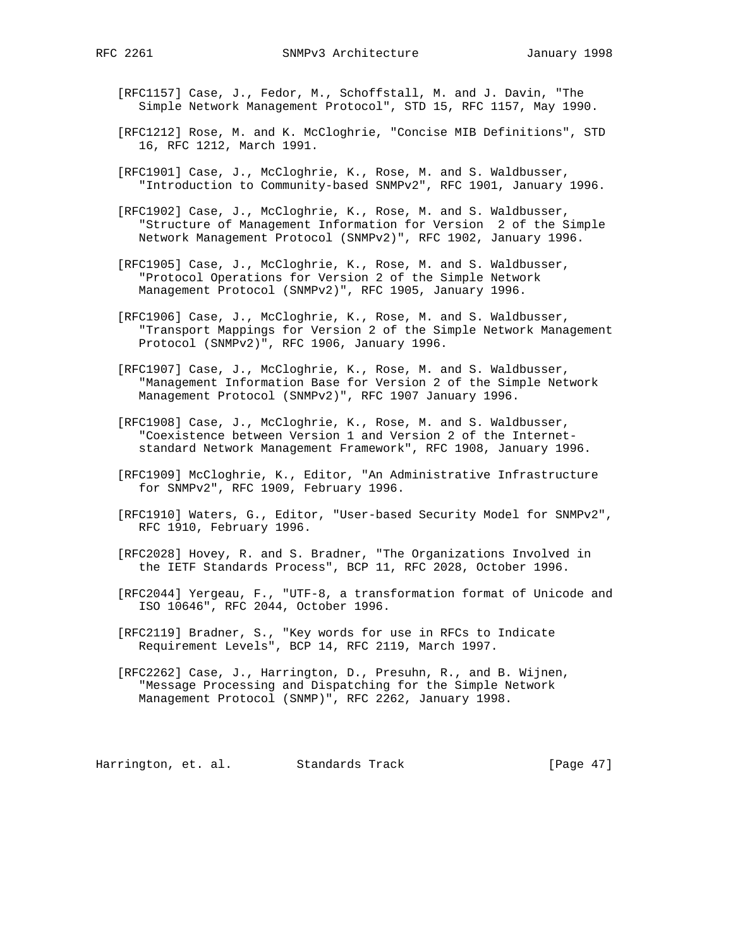- [RFC1157] Case, J., Fedor, M., Schoffstall, M. and J. Davin, "The Simple Network Management Protocol", STD 15, RFC 1157, May 1990.
- [RFC1212] Rose, M. and K. McCloghrie, "Concise MIB Definitions", STD 16, RFC 1212, March 1991.
- [RFC1901] Case, J., McCloghrie, K., Rose, M. and S. Waldbusser, "Introduction to Community-based SNMPv2", RFC 1901, January 1996.
- [RFC1902] Case, J., McCloghrie, K., Rose, M. and S. Waldbusser, "Structure of Management Information for Version 2 of the Simple Network Management Protocol (SNMPv2)", RFC 1902, January 1996.
- [RFC1905] Case, J., McCloghrie, K., Rose, M. and S. Waldbusser, "Protocol Operations for Version 2 of the Simple Network Management Protocol (SNMPv2)", RFC 1905, January 1996.
- [RFC1906] Case, J., McCloghrie, K., Rose, M. and S. Waldbusser, "Transport Mappings for Version 2 of the Simple Network Management Protocol (SNMPv2)", RFC 1906, January 1996.
- [RFC1907] Case, J., McCloghrie, K., Rose, M. and S. Waldbusser, "Management Information Base for Version 2 of the Simple Network Management Protocol (SNMPv2)", RFC 1907 January 1996.
- [RFC1908] Case, J., McCloghrie, K., Rose, M. and S. Waldbusser, "Coexistence between Version 1 and Version 2 of the Internet standard Network Management Framework", RFC 1908, January 1996.
- [RFC1909] McCloghrie, K., Editor, "An Administrative Infrastructure for SNMPv2", RFC 1909, February 1996.
- [RFC1910] Waters, G., Editor, "User-based Security Model for SNMPv2", RFC 1910, February 1996.
- [RFC2028] Hovey, R. and S. Bradner, "The Organizations Involved in the IETF Standards Process", BCP 11, RFC 2028, October 1996.
- [RFC2044] Yergeau, F., "UTF-8, a transformation format of Unicode and ISO 10646", RFC 2044, October 1996.
- [RFC2119] Bradner, S., "Key words for use in RFCs to Indicate Requirement Levels", BCP 14, RFC 2119, March 1997.
- [RFC2262] Case, J., Harrington, D., Presuhn, R., and B. Wijnen, "Message Processing and Dispatching for the Simple Network Management Protocol (SNMP)", RFC 2262, January 1998.

Harrington, et. al. Standards Track [Page 47]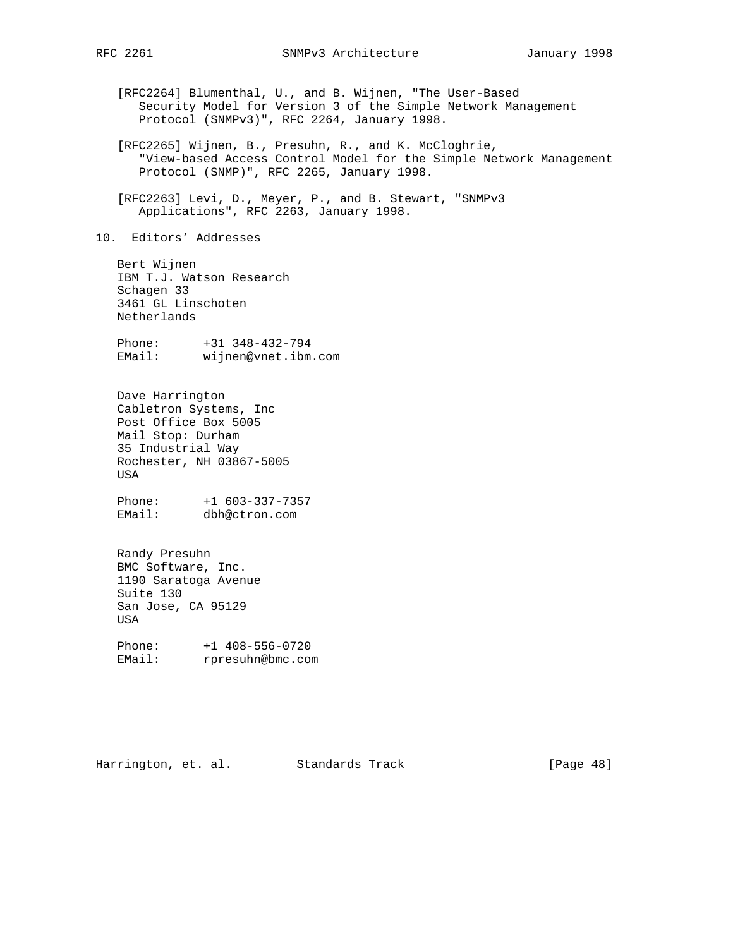[RFC2264] Blumenthal, U., and B. Wijnen, "The User-Based Security Model for Version 3 of the Simple Network Management Protocol (SNMPv3)", RFC 2264, January 1998. [RFC2265] Wijnen, B., Presuhn, R., and K. McCloghrie, "View-based Access Control Model for the Simple Network Management Protocol (SNMP)", RFC 2265, January 1998. [RFC2263] Levi, D., Meyer, P., and B. Stewart, "SNMPv3 Applications", RFC 2263, January 1998. 10. Editors' Addresses Bert Wijnen IBM T.J. Watson Research Schagen 33 3461 GL Linschoten Netherlands Phone: +31 348-432-794 EMail: wijnen@vnet.ibm.com Dave Harrington Cabletron Systems, Inc Post Office Box 5005 Mail Stop: Durham 35 Industrial Way Rochester, NH 03867-5005 USA Phone: +1 603-337-7357 EMail: dbh@ctron.com Randy Presuhn BMC Software, Inc. 1190 Saratoga Avenue Suite 130 San Jose, CA 95129 USA Phone: +1 408-556-0720 EMail: rpresuhn@bmc.com Harrington, et. al. Standards Track [Page 48]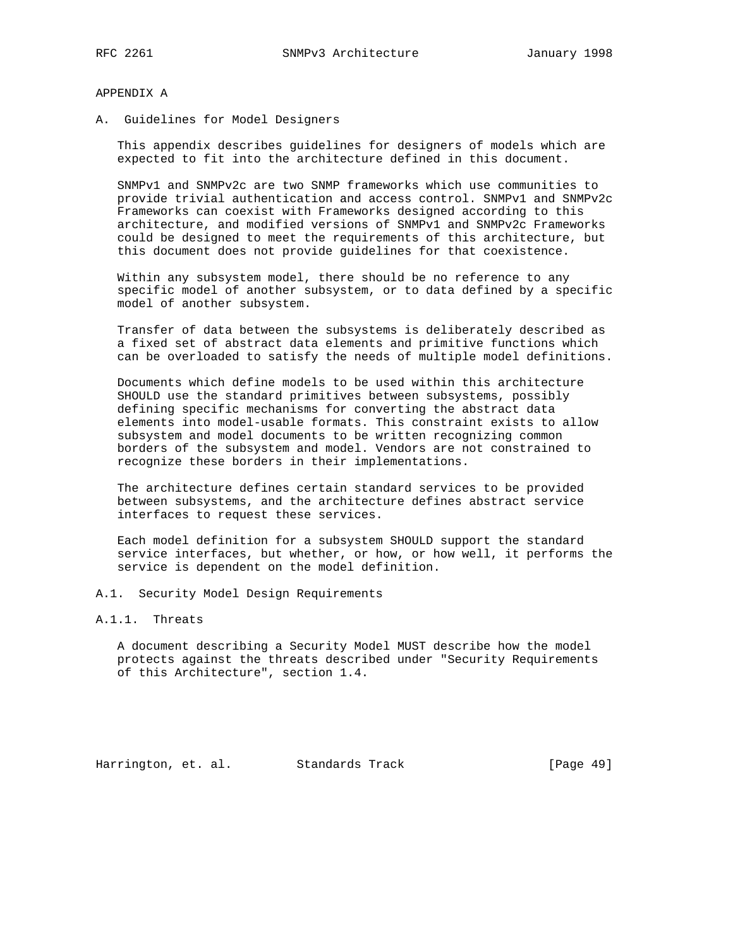#### APPENDIX A

A. Guidelines for Model Designers

 This appendix describes guidelines for designers of models which are expected to fit into the architecture defined in this document.

 SNMPv1 and SNMPv2c are two SNMP frameworks which use communities to provide trivial authentication and access control. SNMPv1 and SNMPv2c Frameworks can coexist with Frameworks designed according to this architecture, and modified versions of SNMPv1 and SNMPv2c Frameworks could be designed to meet the requirements of this architecture, but this document does not provide guidelines for that coexistence.

 Within any subsystem model, there should be no reference to any specific model of another subsystem, or to data defined by a specific model of another subsystem.

 Transfer of data between the subsystems is deliberately described as a fixed set of abstract data elements and primitive functions which can be overloaded to satisfy the needs of multiple model definitions.

 Documents which define models to be used within this architecture SHOULD use the standard primitives between subsystems, possibly defining specific mechanisms for converting the abstract data elements into model-usable formats. This constraint exists to allow subsystem and model documents to be written recognizing common borders of the subsystem and model. Vendors are not constrained to recognize these borders in their implementations.

 The architecture defines certain standard services to be provided between subsystems, and the architecture defines abstract service interfaces to request these services.

 Each model definition for a subsystem SHOULD support the standard service interfaces, but whether, or how, or how well, it performs the service is dependent on the model definition.

A.1. Security Model Design Requirements

# A.1.1. Threats

 A document describing a Security Model MUST describe how the model protects against the threats described under "Security Requirements of this Architecture", section 1.4.

Harrington, et. al. Standards Track [Page 49]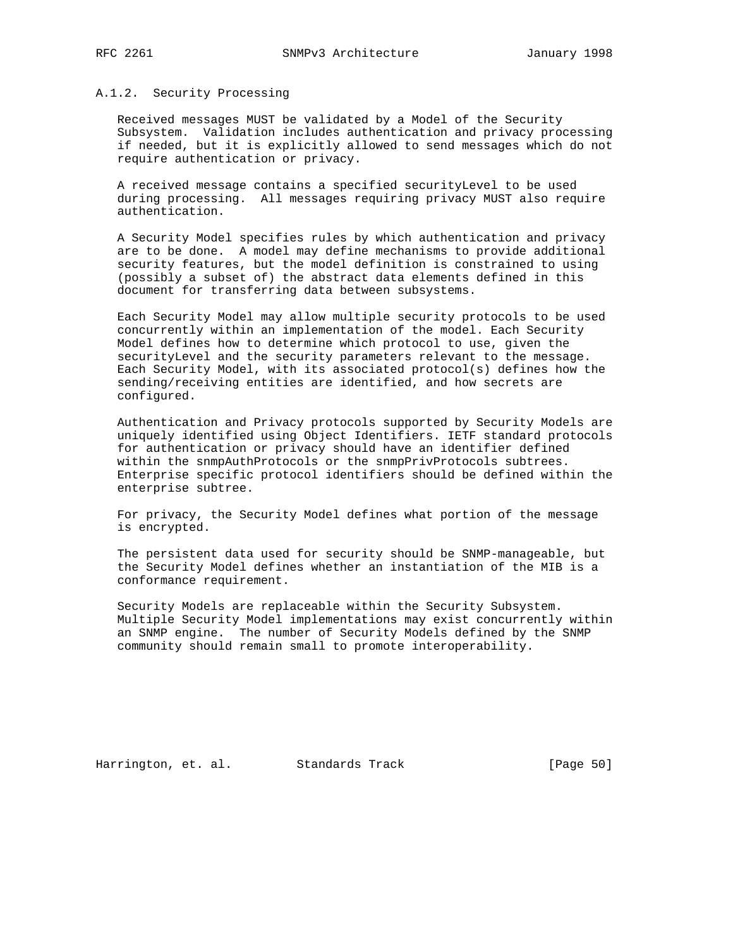### A.1.2. Security Processing

 Received messages MUST be validated by a Model of the Security Subsystem. Validation includes authentication and privacy processing if needed, but it is explicitly allowed to send messages which do not require authentication or privacy.

 A received message contains a specified securityLevel to be used during processing. All messages requiring privacy MUST also require authentication.

 A Security Model specifies rules by which authentication and privacy are to be done. A model may define mechanisms to provide additional security features, but the model definition is constrained to using (possibly a subset of) the abstract data elements defined in this document for transferring data between subsystems.

 Each Security Model may allow multiple security protocols to be used concurrently within an implementation of the model. Each Security Model defines how to determine which protocol to use, given the securityLevel and the security parameters relevant to the message. Each Security Model, with its associated protocol(s) defines how the sending/receiving entities are identified, and how secrets are configured.

 Authentication and Privacy protocols supported by Security Models are uniquely identified using Object Identifiers. IETF standard protocols for authentication or privacy should have an identifier defined within the snmpAuthProtocols or the snmpPrivProtocols subtrees. Enterprise specific protocol identifiers should be defined within the enterprise subtree.

 For privacy, the Security Model defines what portion of the message is encrypted.

 The persistent data used for security should be SNMP-manageable, but the Security Model defines whether an instantiation of the MIB is a conformance requirement.

 Security Models are replaceable within the Security Subsystem. Multiple Security Model implementations may exist concurrently within an SNMP engine. The number of Security Models defined by the SNMP community should remain small to promote interoperability.

Harrington, et. al. Standards Track [Page 50]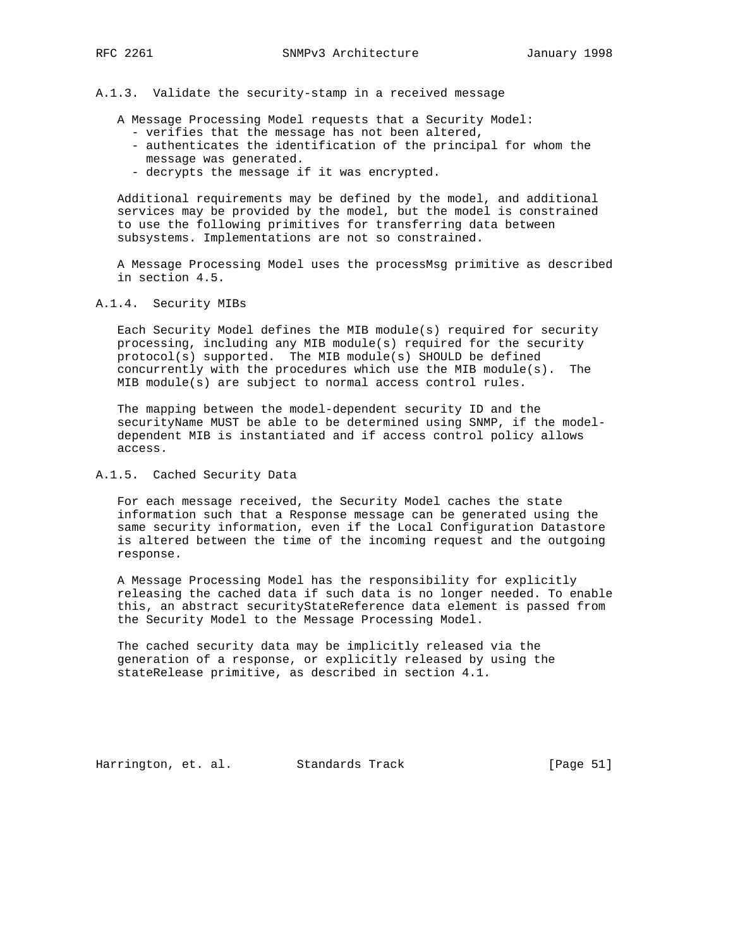## A.1.3. Validate the security-stamp in a received message

A Message Processing Model requests that a Security Model:

- verifies that the message has not been altered,
- authenticates the identification of the principal for whom the message was generated.
- decrypts the message if it was encrypted.

 Additional requirements may be defined by the model, and additional services may be provided by the model, but the model is constrained to use the following primitives for transferring data between subsystems. Implementations are not so constrained.

 A Message Processing Model uses the processMsg primitive as described in section 4.5.

#### A.1.4. Security MIBs

 Each Security Model defines the MIB module(s) required for security processing, including any MIB module(s) required for the security protocol(s) supported. The MIB module(s) SHOULD be defined concurrently with the procedures which use the MIB module(s). The MIB module(s) are subject to normal access control rules.

 The mapping between the model-dependent security ID and the securityName MUST be able to be determined using SNMP, if the model dependent MIB is instantiated and if access control policy allows access.

## A.1.5. Cached Security Data

 For each message received, the Security Model caches the state information such that a Response message can be generated using the same security information, even if the Local Configuration Datastore is altered between the time of the incoming request and the outgoing response.

 A Message Processing Model has the responsibility for explicitly releasing the cached data if such data is no longer needed. To enable this, an abstract securityStateReference data element is passed from the Security Model to the Message Processing Model.

 The cached security data may be implicitly released via the generation of a response, or explicitly released by using the stateRelease primitive, as described in section 4.1.

Harrington, et. al. Standards Track [Page 51]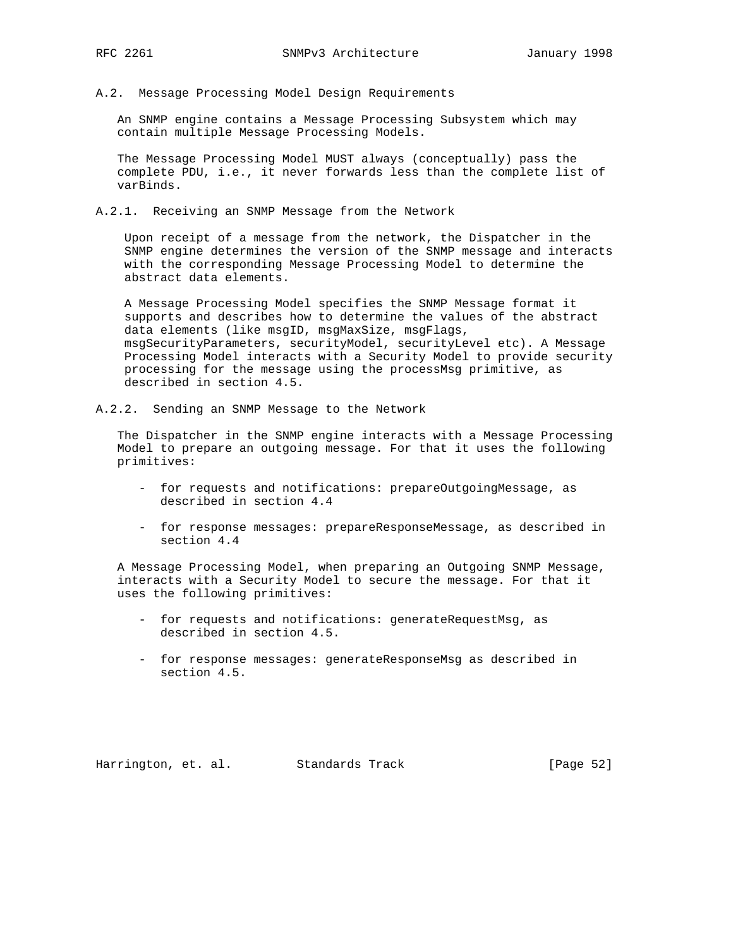A.2. Message Processing Model Design Requirements

 An SNMP engine contains a Message Processing Subsystem which may contain multiple Message Processing Models.

 The Message Processing Model MUST always (conceptually) pass the complete PDU, i.e., it never forwards less than the complete list of varBinds.

A.2.1. Receiving an SNMP Message from the Network

 Upon receipt of a message from the network, the Dispatcher in the SNMP engine determines the version of the SNMP message and interacts with the corresponding Message Processing Model to determine the abstract data elements.

 A Message Processing Model specifies the SNMP Message format it supports and describes how to determine the values of the abstract data elements (like msgID, msgMaxSize, msgFlags, msgSecurityParameters, securityModel, securityLevel etc). A Message Processing Model interacts with a Security Model to provide security processing for the message using the processMsg primitive, as described in section 4.5.

A.2.2. Sending an SNMP Message to the Network

 The Dispatcher in the SNMP engine interacts with a Message Processing Model to prepare an outgoing message. For that it uses the following primitives:

- for requests and notifications: prepareOutgoingMessage, as described in section 4.4
- for response messages: prepareResponseMessage, as described in section 4.4

 A Message Processing Model, when preparing an Outgoing SNMP Message, interacts with a Security Model to secure the message. For that it uses the following primitives:

- for requests and notifications: generateRequestMsg, as described in section 4.5.
- for response messages: generateResponseMsg as described in section 4.5.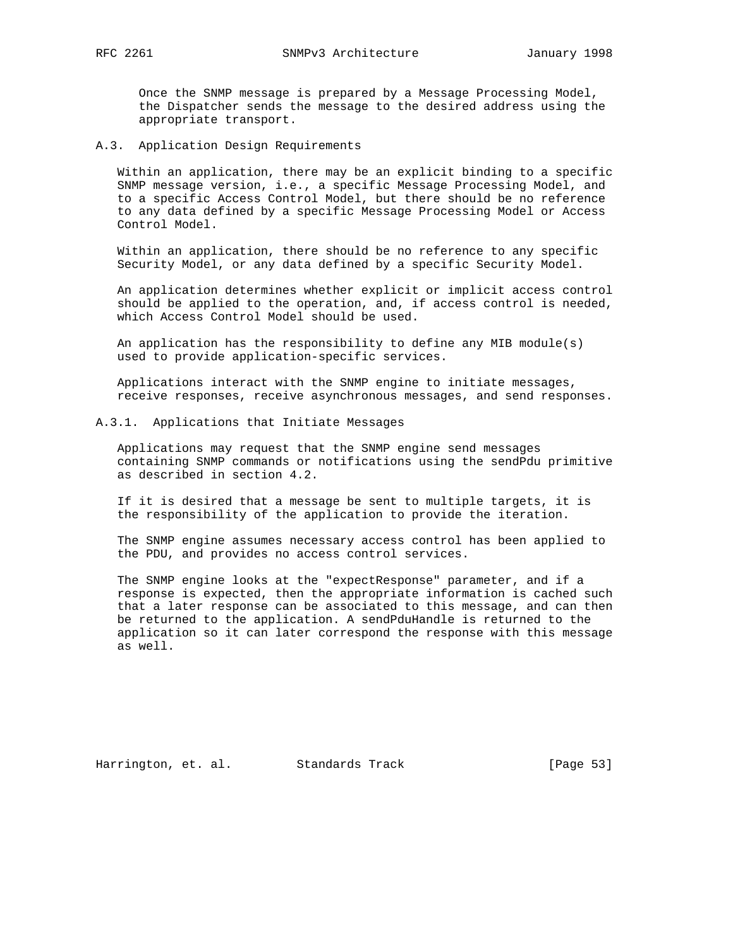Once the SNMP message is prepared by a Message Processing Model, the Dispatcher sends the message to the desired address using the appropriate transport.

A.3. Application Design Requirements

 Within an application, there may be an explicit binding to a specific SNMP message version, i.e., a specific Message Processing Model, and to a specific Access Control Model, but there should be no reference to any data defined by a specific Message Processing Model or Access Control Model.

 Within an application, there should be no reference to any specific Security Model, or any data defined by a specific Security Model.

 An application determines whether explicit or implicit access control should be applied to the operation, and, if access control is needed, which Access Control Model should be used.

 An application has the responsibility to define any MIB module(s) used to provide application-specific services.

 Applications interact with the SNMP engine to initiate messages, receive responses, receive asynchronous messages, and send responses.

#### A.3.1. Applications that Initiate Messages

 Applications may request that the SNMP engine send messages containing SNMP commands or notifications using the sendPdu primitive as described in section 4.2.

 If it is desired that a message be sent to multiple targets, it is the responsibility of the application to provide the iteration.

 The SNMP engine assumes necessary access control has been applied to the PDU, and provides no access control services.

 The SNMP engine looks at the "expectResponse" parameter, and if a response is expected, then the appropriate information is cached such that a later response can be associated to this message, and can then be returned to the application. A sendPduHandle is returned to the application so it can later correspond the response with this message as well.

Harrington, et. al. Standards Track [Page 53]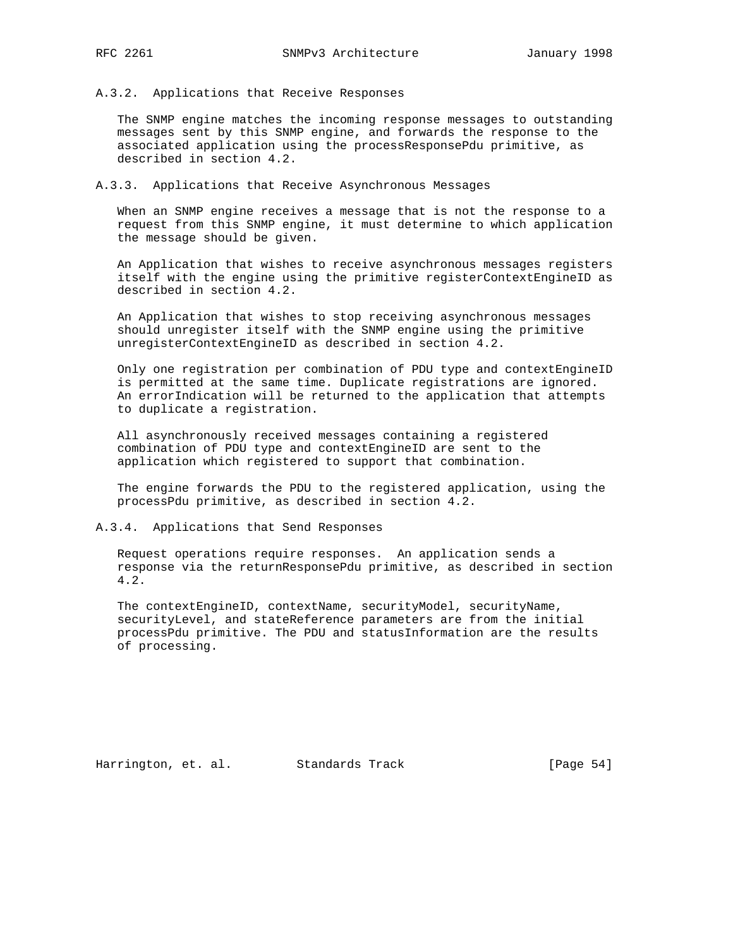## A.3.2. Applications that Receive Responses

 The SNMP engine matches the incoming response messages to outstanding messages sent by this SNMP engine, and forwards the response to the associated application using the processResponsePdu primitive, as described in section 4.2.

A.3.3. Applications that Receive Asynchronous Messages

 When an SNMP engine receives a message that is not the response to a request from this SNMP engine, it must determine to which application the message should be given.

 An Application that wishes to receive asynchronous messages registers itself with the engine using the primitive registerContextEngineID as described in section 4.2.

 An Application that wishes to stop receiving asynchronous messages should unregister itself with the SNMP engine using the primitive unregisterContextEngineID as described in section 4.2.

 Only one registration per combination of PDU type and contextEngineID is permitted at the same time. Duplicate registrations are ignored. An errorIndication will be returned to the application that attempts to duplicate a registration.

 All asynchronously received messages containing a registered combination of PDU type and contextEngineID are sent to the application which registered to support that combination.

 The engine forwards the PDU to the registered application, using the processPdu primitive, as described in section 4.2.

A.3.4. Applications that Send Responses

 Request operations require responses. An application sends a response via the returnResponsePdu primitive, as described in section 4.2.

 The contextEngineID, contextName, securityModel, securityName, securityLevel, and stateReference parameters are from the initial processPdu primitive. The PDU and statusInformation are the results of processing.

Harrington, et. al. Standards Track [Page 54]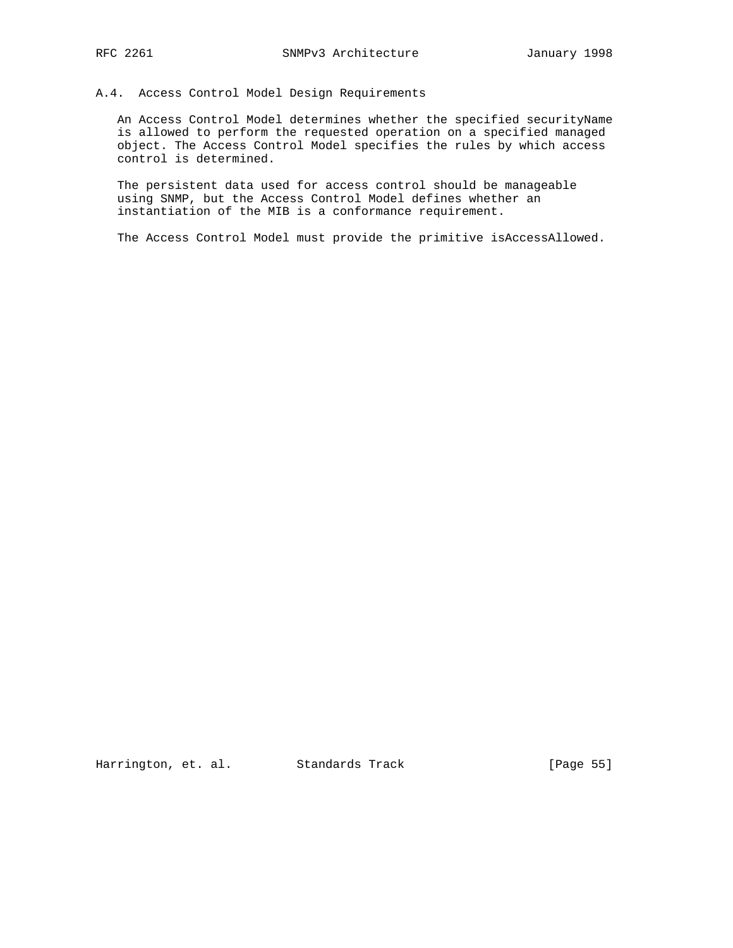# A.4. Access Control Model Design Requirements

 An Access Control Model determines whether the specified securityName is allowed to perform the requested operation on a specified managed object. The Access Control Model specifies the rules by which access control is determined.

 The persistent data used for access control should be manageable using SNMP, but the Access Control Model defines whether an instantiation of the MIB is a conformance requirement.

The Access Control Model must provide the primitive isAccessAllowed.